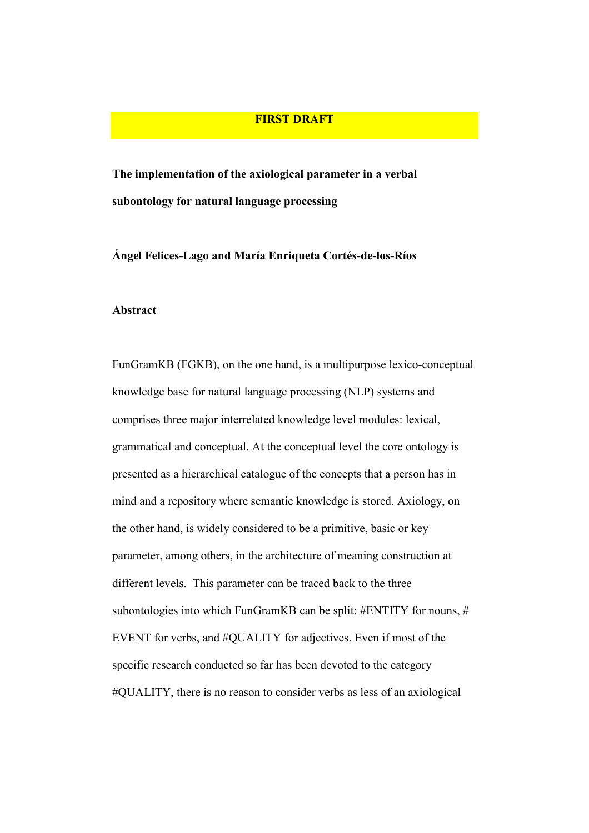## FIRST DRAFT

The implementation of the axiological parameter in a verbal subontology for natural language processing

Ángel Felices-Lago and María Enriqueta Cortés-de-los-Ríos

#### Abstract

FunGramKB (FGKB), on the one hand, is a multipurpose lexico-conceptual knowledge base for natural language processing (NLP) systems and comprises three major interrelated knowledge level modules: lexical, grammatical and conceptual. At the conceptual level the core ontology is presented as a hierarchical catalogue of the concepts that a person has in mind and a repository where semantic knowledge is stored. Axiology, on the other hand, is widely considered to be a primitive, basic or key parameter, among others, in the architecture of meaning construction at different levels. This parameter can be traced back to the three subontologies into which FunGramKB can be split: #ENTITY for nouns, # EVENT for verbs, and #QUALITY for adjectives. Even if most of the specific research conducted so far has been devoted to the category #QUALITY, there is no reason to consider verbs as less of an axiological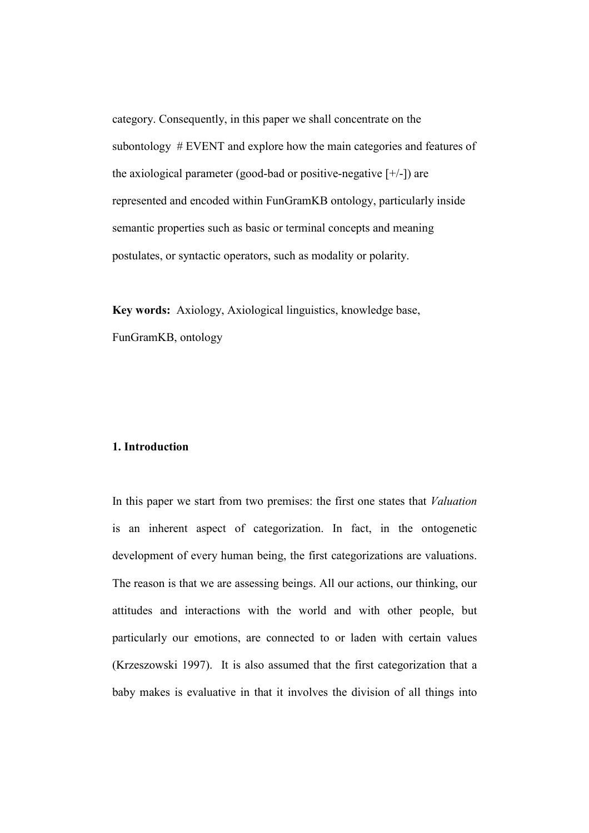category. Consequently, in this paper we shall concentrate on the subontology # EVENT and explore how the main categories and features of the axiological parameter (good-bad or positive-negative  $[+/]$ ) are represented and encoded within FunGramKB ontology, particularly inside semantic properties such as basic or terminal concepts and meaning postulates, or syntactic operators, such as modality or polarity.

Key words: Axiology, Axiological linguistics, knowledge base, FunGramKB, ontology

#### 1. Introduction

In this paper we start from two premises: the first one states that Valuation is an inherent aspect of categorization. In fact, in the ontogenetic development of every human being, the first categorizations are valuations. The reason is that we are assessing beings. All our actions, our thinking, our attitudes and interactions with the world and with other people, but particularly our emotions, are connected to or laden with certain values (Krzeszowski 1997). It is also assumed that the first categorization that a baby makes is evaluative in that it involves the division of all things into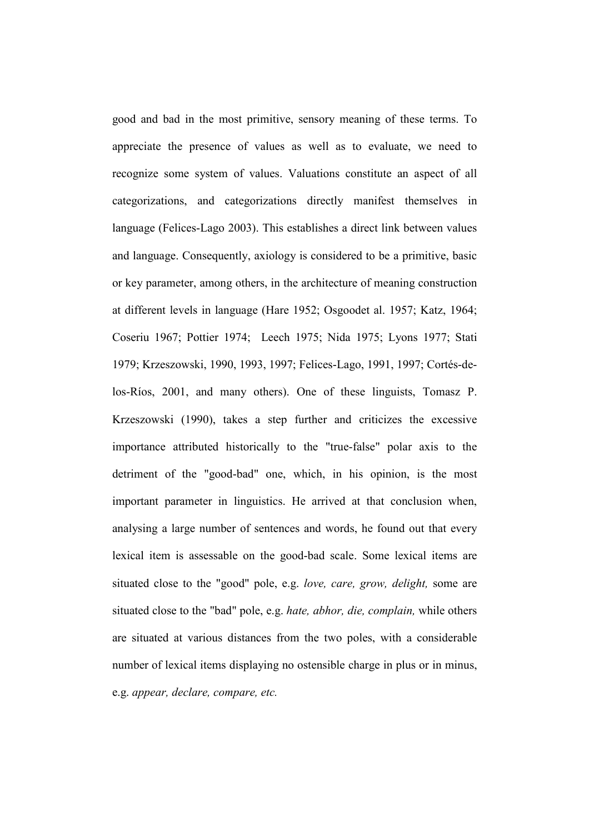good and bad in the most primitive, sensory meaning of these terms. To appreciate the presence of values as well as to evaluate, we need to recognize some system of values. Valuations constitute an aspect of all categorizations, and categorizations directly manifest themselves in language (Felices-Lago 2003). This establishes a direct link between values and language. Consequently, axiology is considered to be a primitive, basic or key parameter, among others, in the architecture of meaning construction at different levels in language (Hare 1952; Osgoodet al. 1957; Katz, 1964; Coseriu 1967; Pottier 1974; Leech 1975; Nida 1975; Lyons 1977; Stati 1979; Krzeszowski, 1990, 1993, 1997; Felices-Lago, 1991, 1997; Cortés-delos-Ríos, 2001, and many others). One of these linguists, Tomasz P. Krzeszowski (1990), takes a step further and criticizes the excessive importance attributed historically to the "true-false" polar axis to the detriment of the "good-bad" one, which, in his opinion, is the most important parameter in linguistics. He arrived at that conclusion when, analysing a large number of sentences and words, he found out that every lexical item is assessable on the good-bad scale. Some lexical items are situated close to the "good" pole, e.g. love, care, grow, delight, some are situated close to the "bad" pole, e.g. hate, abhor, die, complain, while others are situated at various distances from the two poles, with a considerable number of lexical items displaying no ostensible charge in plus or in minus, e.g. appear, declare, compare, etc.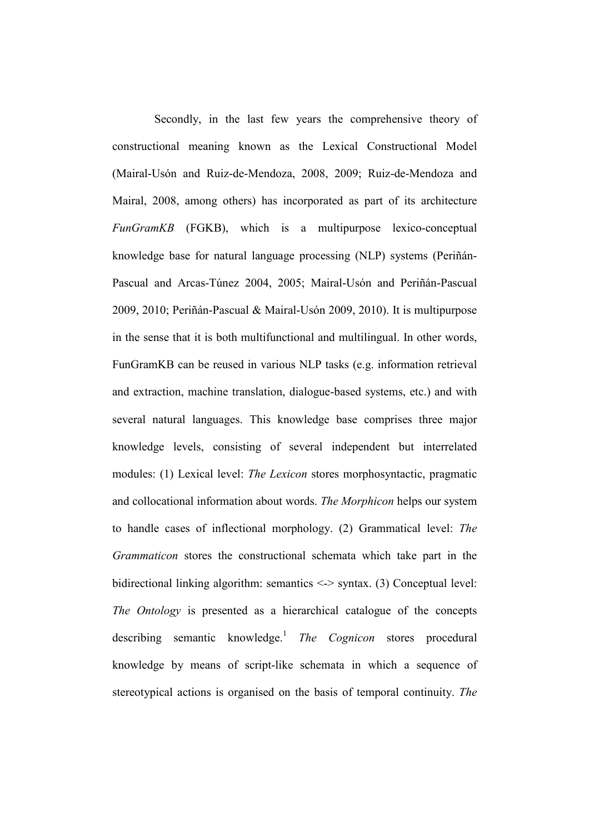Secondly, in the last few years the comprehensive theory of constructional meaning known as the Lexical Constructional Model (Mairal-Usón and Ruiz-de-Mendoza, 2008, 2009; Ruiz-de-Mendoza and Mairal, 2008, among others) has incorporated as part of its architecture FunGramKB (FGKB), which is a multipurpose lexico-conceptual knowledge base for natural language processing (NLP) systems (Periñán-Pascual and Arcas-Túnez 2004, 2005; Mairal-Usón and Periñán-Pascual 2009, 2010; Periñán-Pascual & Mairal-Usón 2009, 2010). It is multipurpose in the sense that it is both multifunctional and multilingual. In other words, FunGramKB can be reused in various NLP tasks (e.g. information retrieval and extraction, machine translation, dialogue-based systems, etc.) and with several natural languages. This knowledge base comprises three major knowledge levels, consisting of several independent but interrelated modules: (1) Lexical level: The Lexicon stores morphosyntactic, pragmatic and collocational information about words. The Morphicon helps our system to handle cases of inflectional morphology. (2) Grammatical level: The Grammaticon stores the constructional schemata which take part in the bidirectional linking algorithm: semantics <-> syntax. (3) Conceptual level: The Ontology is presented as a hierarchical catalogue of the concepts describing semantic knowledge.<sup>1</sup> The Cognicon stores procedural knowledge by means of script-like schemata in which a sequence of stereotypical actions is organised on the basis of temporal continuity. The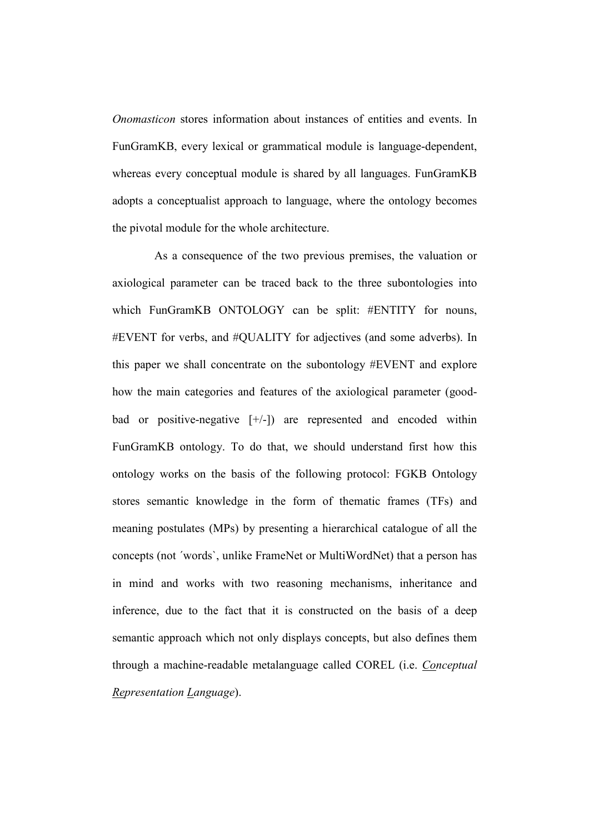Onomasticon stores information about instances of entities and events. In FunGramKB, every lexical or grammatical module is language-dependent, whereas every conceptual module is shared by all languages. FunGramKB adopts a conceptualist approach to language, where the ontology becomes the pivotal module for the whole architecture.

 As a consequence of the two previous premises, the valuation or axiological parameter can be traced back to the three subontologies into which FunGramKB ONTOLOGY can be split: #ENTITY for nouns, #EVENT for verbs, and #QUALITY for adjectives (and some adverbs). In this paper we shall concentrate on the subontology #EVENT and explore how the main categories and features of the axiological parameter (goodbad or positive-negative [+/-]) are represented and encoded within FunGramKB ontology. To do that, we should understand first how this ontology works on the basis of the following protocol: FGKB Ontology stores semantic knowledge in the form of thematic frames (TFs) and meaning postulates (MPs) by presenting a hierarchical catalogue of all the concepts (not ´words`, unlike FrameNet or MultiWordNet) that a person has in mind and works with two reasoning mechanisms, inheritance and inference, due to the fact that it is constructed on the basis of a deep semantic approach which not only displays concepts, but also defines them through a machine-readable metalanguage called COREL (i.e. Conceptual Representation Language).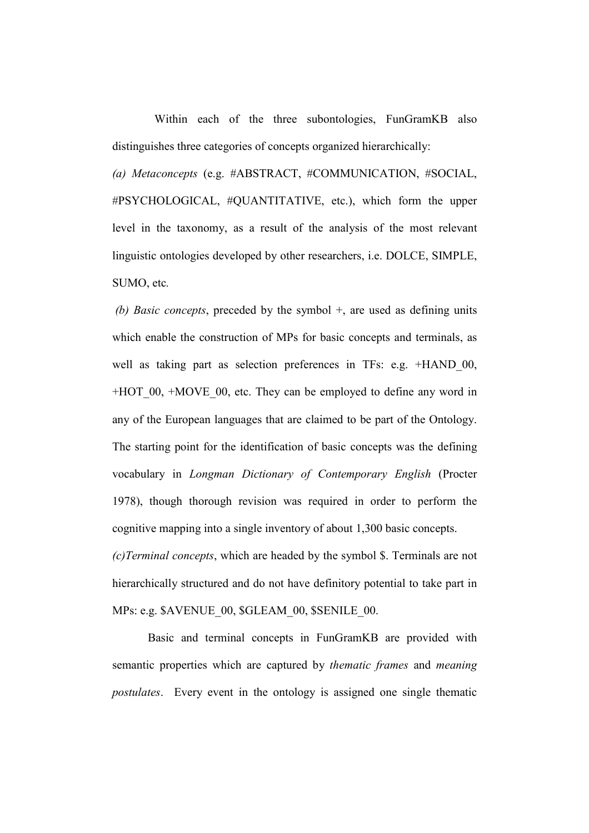Within each of the three subontologies, FunGramKB also distinguishes three categories of concepts organized hierarchically:

(a) Metaconcepts (e.g. #ABSTRACT, #COMMUNICATION, #SOCIAL, #PSYCHOLOGICAL, #QUANTITATIVE, etc.), which form the upper level in the taxonomy, as a result of the analysis of the most relevant linguistic ontologies developed by other researchers, i.e. DOLCE, SIMPLE, SUMO, etc.

(b) Basic concepts, preceded by the symbol  $+$ , are used as defining units which enable the construction of MPs for basic concepts and terminals, as well as taking part as selection preferences in TFs: e.g. +HAND 00, +HOT\_00, +MOVE\_00, etc. They can be employed to define any word in any of the European languages that are claimed to be part of the Ontology. The starting point for the identification of basic concepts was the defining vocabulary in Longman Dictionary of Contemporary English (Procter 1978), though thorough revision was required in order to perform the cognitive mapping into a single inventory of about 1,300 basic concepts. (c)Terminal concepts, which are headed by the symbol \$. Terminals are not hierarchically structured and do not have definitory potential to take part in

MPs: e.g. \$AVENUE\_00, \$GLEAM\_00, \$SENILE\_00.

 Basic and terminal concepts in FunGramKB are provided with semantic properties which are captured by thematic frames and meaning postulates. Every event in the ontology is assigned one single thematic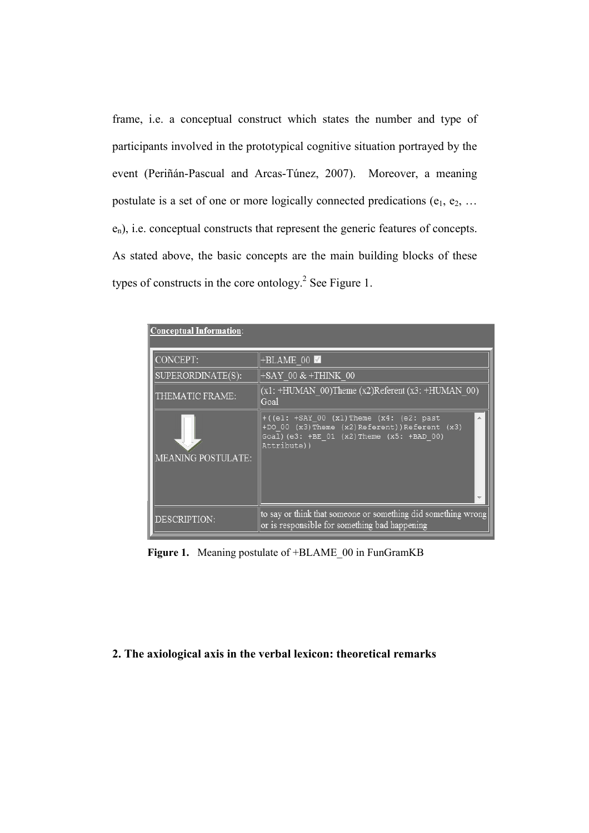frame, i.e. a conceptual construct which states the number and type of participants involved in the prototypical cognitive situation portrayed by the event (Periñán-Pascual and Arcas-Túnez, 2007). Moreover, a meaning postulate is a set of one or more logically connected predications  $(e_1, e_2, \ldots)$  $e_n$ ), i.e. conceptual constructs that represent the generic features of concepts. As stated above, the basic concepts are the main building blocks of these types of constructs in the core ontology.<sup>2</sup> See Figure 1.

| CONCEPT:           | +BLAME 00                                                                                                                                                          |
|--------------------|--------------------------------------------------------------------------------------------------------------------------------------------------------------------|
| SUPERORDINATE(S):  | $+SAY$ 00 & +THINK 00                                                                                                                                              |
| THEMATIC FRAME:    | $(x1: +HUMAN 00)$ Theme $(x2)$ Referent $(x3: +HUMAN 00)$<br>Goal                                                                                                  |
| MEANING POSTULATE: | $+ ((e1: +SAY 00 (x1)$ Theme $(x4: (e2: past$<br>+DO 00 (x3) Theme (x2) Referent) ) Referent (x3)<br>Goal) (e3: $+BE$ 01 (x2) Theme (x5: $+BAD$ 00)<br>Attribute)) |
| DESCRIPTION:       | to say or think that someone or something did something wrong<br>or is responsible for something bad happening                                                     |

Figure 1. Meaning postulate of +BLAME 00 in FunGramKB

## 2. The axiological axis in the verbal lexicon: theoretical remarks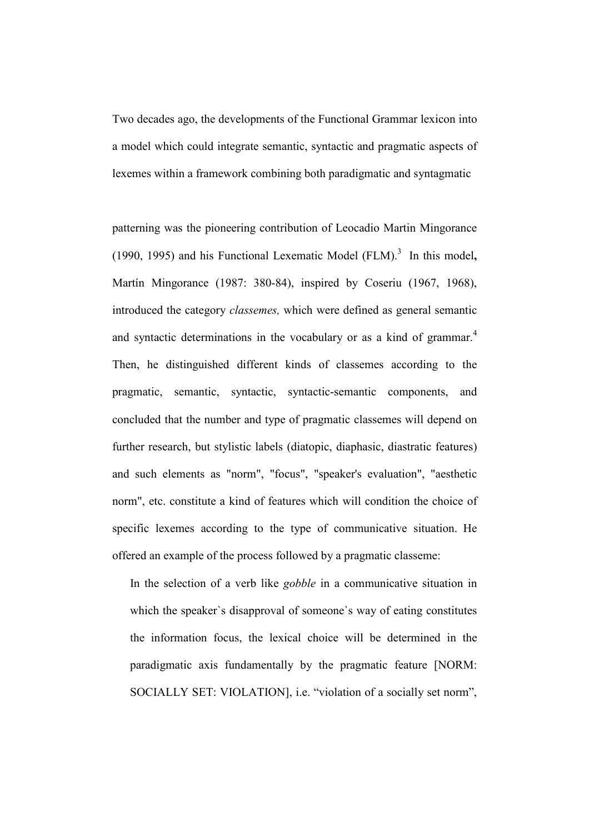Two decades ago, the developments of the Functional Grammar lexicon into a model which could integrate semantic, syntactic and pragmatic aspects of lexemes within a framework combining both paradigmatic and syntagmatic

patterning was the pioneering contribution of Leocadio Martin Mingorance (1990, 1995) and his Functional Lexematic Model  $(FLM)<sup>3</sup>$  In this model, Martín Mingorance (1987: 380-84), inspired by Coseriu (1967, 1968), introduced the category classemes, which were defined as general semantic and syntactic determinations in the vocabulary or as a kind of grammar.<sup>4</sup> Then, he distinguished different kinds of classemes according to the pragmatic, semantic, syntactic, syntactic-semantic components, and concluded that the number and type of pragmatic classemes will depend on further research, but stylistic labels (diatopic, diaphasic, diastratic features) and such elements as "norm", "focus", "speaker's evaluation", "aesthetic norm", etc. constitute a kind of features which will condition the choice of specific lexemes according to the type of communicative situation. He offered an example of the process followed by a pragmatic classeme:

In the selection of a verb like gobble in a communicative situation in which the speaker`s disapproval of someone`s way of eating constitutes the information focus, the lexical choice will be determined in the paradigmatic axis fundamentally by the pragmatic feature [NORM: SOCIALLY SET: VIOLATION], i.e. "violation of a socially set norm",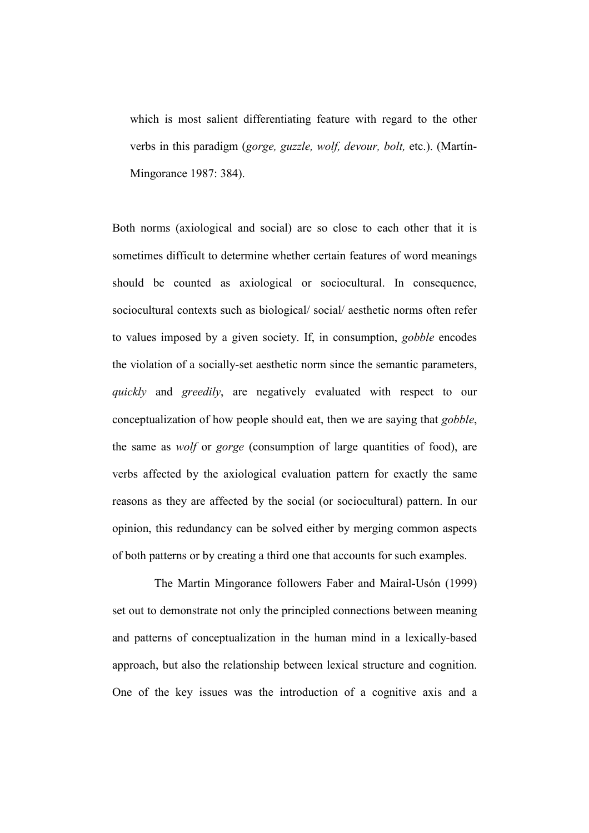which is most salient differentiating feature with regard to the other verbs in this paradigm (gorge, guzzle, wolf, devour, bolt, etc.). (Martín-Mingorance 1987: 384).

Both norms (axiological and social) are so close to each other that it is sometimes difficult to determine whether certain features of word meanings should be counted as axiological or sociocultural. In consequence, sociocultural contexts such as biological/ social/ aesthetic norms often refer to values imposed by a given society. If, in consumption, gobble encodes the violation of a socially-set aesthetic norm since the semantic parameters, quickly and greedily, are negatively evaluated with respect to our conceptualization of how people should eat, then we are saying that gobble, the same as wolf or gorge (consumption of large quantities of food), are verbs affected by the axiological evaluation pattern for exactly the same reasons as they are affected by the social (or sociocultural) pattern. In our opinion, this redundancy can be solved either by merging common aspects of both patterns or by creating a third one that accounts for such examples.

 The Martin Mingorance followers Faber and Mairal-Usón (1999) set out to demonstrate not only the principled connections between meaning and patterns of conceptualization in the human mind in a lexically-based approach, but also the relationship between lexical structure and cognition. One of the key issues was the introduction of a cognitive axis and a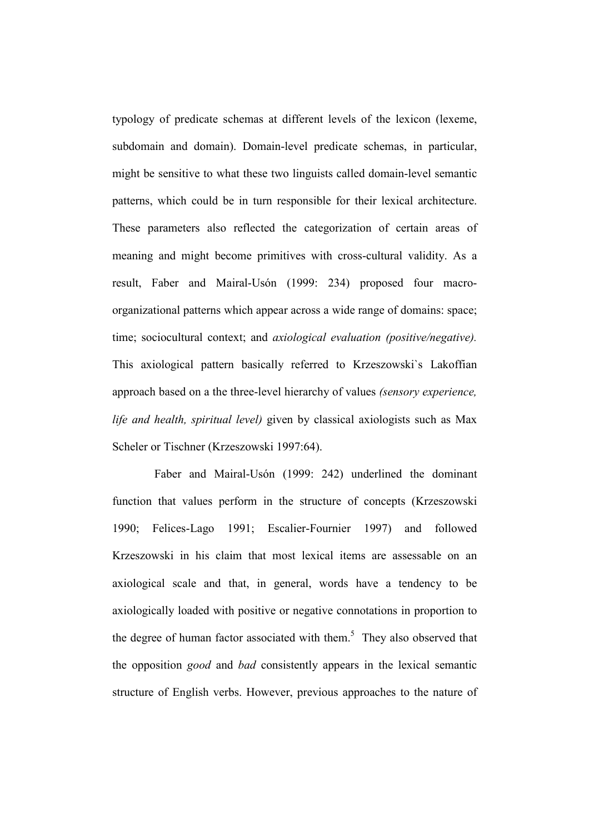typology of predicate schemas at different levels of the lexicon (lexeme, subdomain and domain). Domain-level predicate schemas, in particular, might be sensitive to what these two linguists called domain-level semantic patterns, which could be in turn responsible for their lexical architecture. These parameters also reflected the categorization of certain areas of meaning and might become primitives with cross-cultural validity. As a result, Faber and Mairal-Usón (1999: 234) proposed four macroorganizational patterns which appear across a wide range of domains: space; time; sociocultural context; and *axiological evaluation (positive/negative)*. This axiological pattern basically referred to Krzeszowski`s Lakoffian approach based on a the three-level hierarchy of values (sensory experience, life and health, spiritual level) given by classical axiologists such as Max Scheler or Tischner (Krzeszowski 1997:64).

Faber and Mairal-Usón (1999: 242) underlined the dominant function that values perform in the structure of concepts (Krzeszowski 1990; Felices-Lago 1991; Escalier-Fournier 1997) and followed Krzeszowski in his claim that most lexical items are assessable on an axiological scale and that, in general, words have a tendency to be axiologically loaded with positive or negative connotations in proportion to the degree of human factor associated with them.<sup>5</sup> They also observed that the opposition good and bad consistently appears in the lexical semantic structure of English verbs. However, previous approaches to the nature of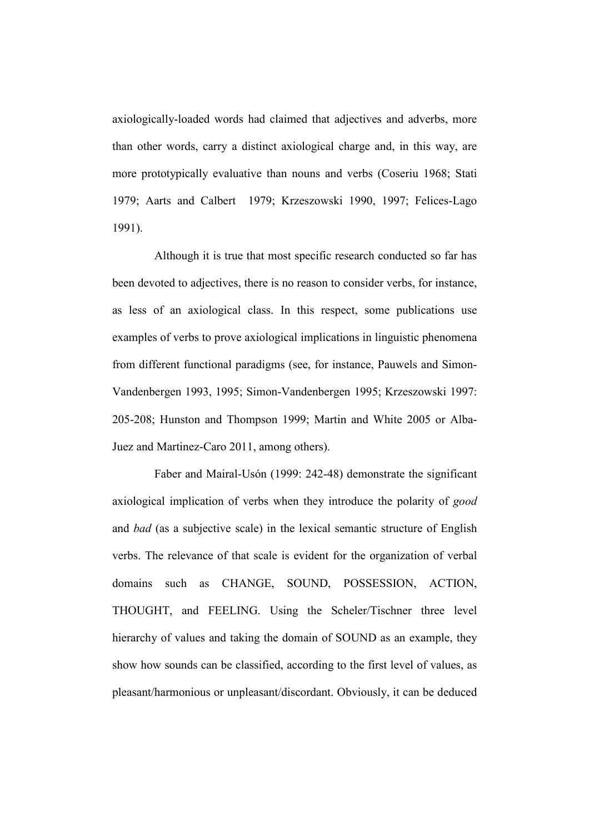axiologically-loaded words had claimed that adjectives and adverbs, more than other words, carry a distinct axiological charge and, in this way, are more prototypically evaluative than nouns and verbs (Coseriu 1968; Stati 1979; Aarts and Calbert 1979; Krzeszowski 1990, 1997; Felices-Lago 1991).

 Although it is true that most specific research conducted so far has been devoted to adjectives, there is no reason to consider verbs, for instance, as less of an axiological class. In this respect, some publications use examples of verbs to prove axiological implications in linguistic phenomena from different functional paradigms (see, for instance, Pauwels and Simon-Vandenbergen 1993, 1995; Simon-Vandenbergen 1995; Krzeszowski 1997: 205-208; Hunston and Thompson 1999; Martin and White 2005 or Alba-Juez and Martinez-Caro 2011, among others).

 Faber and Mairal-Usón (1999: 242-48) demonstrate the significant axiological implication of verbs when they introduce the polarity of good and bad (as a subjective scale) in the lexical semantic structure of English verbs. The relevance of that scale is evident for the organization of verbal domains such as CHANGE, SOUND, POSSESSION, ACTION, THOUGHT, and FEELING. Using the Scheler/Tischner three level hierarchy of values and taking the domain of SOUND as an example, they show how sounds can be classified, according to the first level of values, as pleasant/harmonious or unpleasant/discordant. Obviously, it can be deduced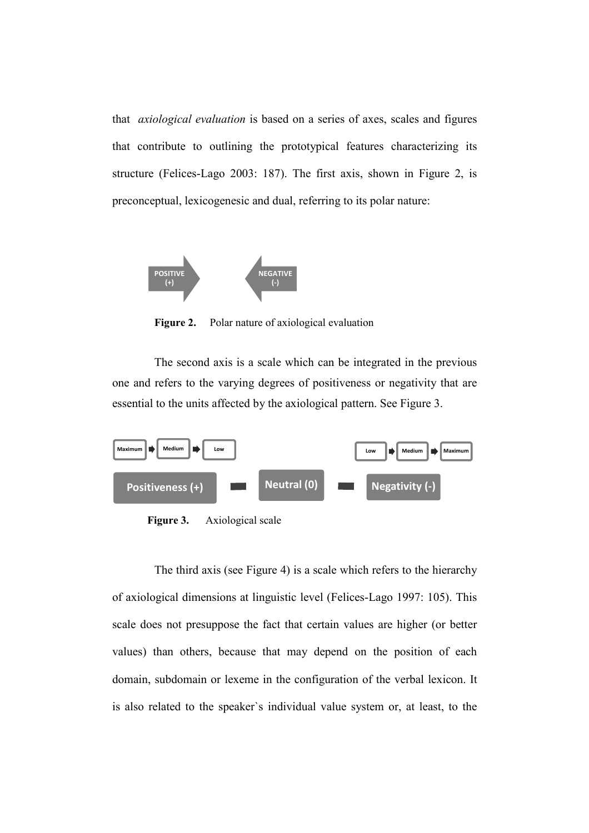that axiological evaluation is based on a series of axes, scales and figures that contribute to outlining the prototypical features characterizing its structure (Felices-Lago 2003: 187). The first axis, shown in Figure 2, is preconceptual, lexicogenesic and dual, referring to its polar nature:



Figure 2. Polar nature of axiological evaluation

 The second axis is a scale which can be integrated in the previous one and refers to the varying degrees of positiveness or negativity that are essential to the units affected by the axiological pattern. See Figure 3.



Figure 3. Axiological scale

 The third axis (see Figure 4) is a scale which refers to the hierarchy of axiological dimensions at linguistic level (Felices-Lago 1997: 105). This scale does not presuppose the fact that certain values are higher (or better values) than others, because that may depend on the position of each domain, subdomain or lexeme in the configuration of the verbal lexicon. It is also related to the speaker`s individual value system or, at least, to the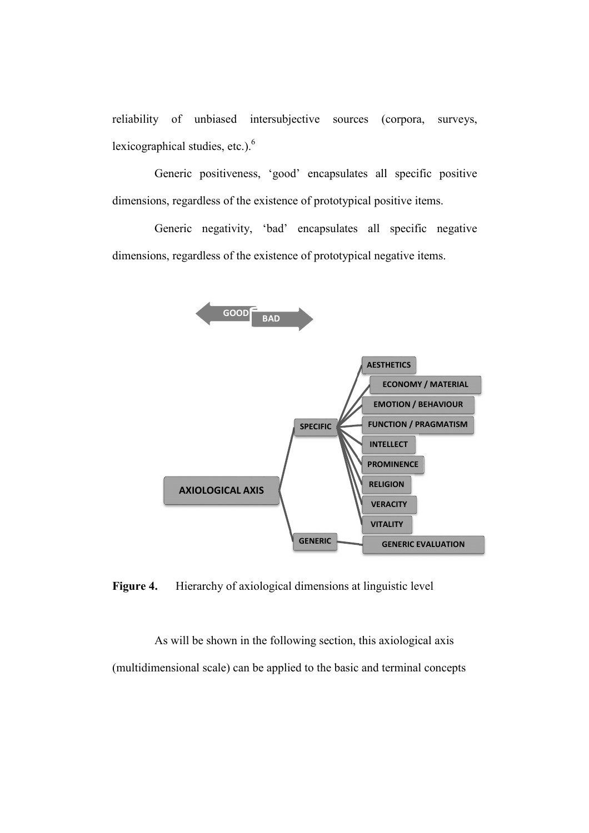reliability of unbiased intersubjective sources (corpora, surveys, lexicographical studies, etc.). $<sup>6</sup>$ </sup>

 Generic positiveness, 'good' encapsulates all specific positive dimensions, regardless of the existence of prototypical positive items.

 Generic negativity, 'bad' encapsulates all specific negative dimensions, regardless of the existence of prototypical negative items.



Figure 4. Hierarchy of axiological dimensions at linguistic level

 As will be shown in the following section, this axiological axis (multidimensional scale) can be applied to the basic and terminal concepts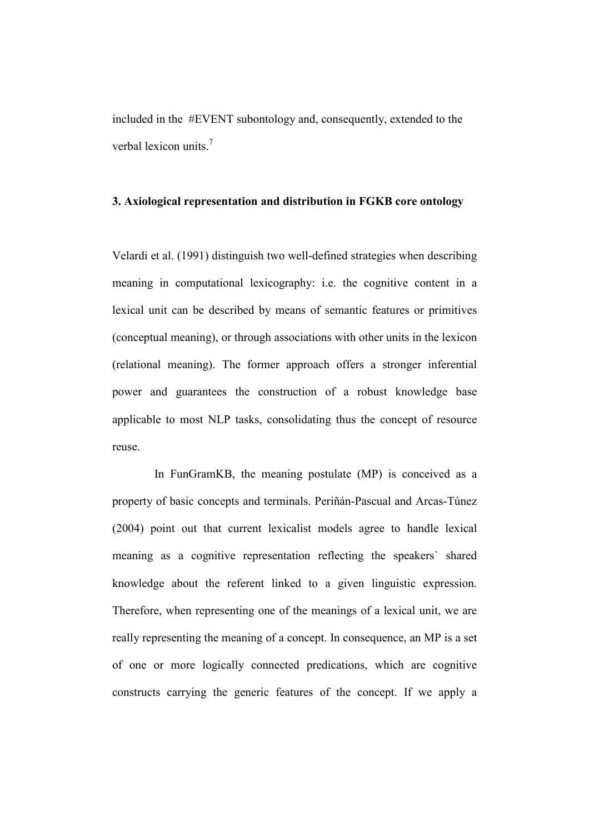included in the #EVENT subontology and, consequently, extended to the verbal lexicon units.<sup>7</sup>

# 3. Axiological representation and distribution in FGKB core ontology

Velardi et al. (1991) distinguish two well-defined strategies when describing meaning in computational lexicography: i.e. the cognitive content in a lexical unit can be described by means of semantic features or primitives (conceptual meaning), or through associations with other units in the lexicon (relational meaning). The former approach offers a stronger inferential power and guarantees the construction of a robust knowledge base applicable to most NLP tasks, consolidating thus the concept of resource reuse.

 In FunGramKB, the meaning postulate (MP) is conceived as a property of basic concepts and terminals. Periñán-Pascual and Arcas-Túnez (2004) point out that current lexicalist models agree to handle lexical meaning as a cognitive representation reflecting the speakers` shared knowledge about the referent linked to a given linguistic expression. Therefore, when representing one of the meanings of a lexical unit, we are really representing the meaning of a concept. In consequence, an MP is a set of one or more logically connected predications, which are cognitive constructs carrying the generic features of the concept. If we apply a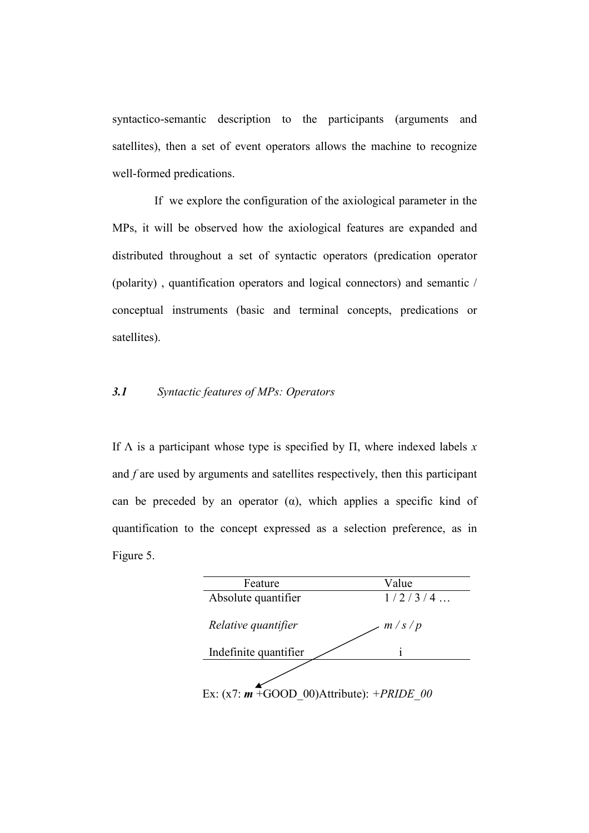syntactico-semantic description to the participants (arguments and satellites), then a set of event operators allows the machine to recognize well-formed predications.

 If we explore the configuration of the axiological parameter in the MPs, it will be observed how the axiological features are expanded and distributed throughout a set of syntactic operators (predication operator (polarity) , quantification operators and logical connectors) and semantic / conceptual instruments (basic and terminal concepts, predications or satellites).

## 3.1 Syntactic features of MPs: Operators

If  $\Lambda$  is a participant whose type is specified by  $\Pi$ , where indexed labels x and f are used by arguments and satellites respectively, then this participant can be preceded by an operator  $(\alpha)$ , which applies a specific kind of quantification to the concept expressed as a selection preference, as in Figure 5.

| Feature                                               | Value   |
|-------------------------------------------------------|---------|
| Absolute quantifier                                   | 1/2/3/4 |
| Relative quantifier                                   | m/s/p   |
| Indefinite quantifier                                 |         |
| Ex: $(x7: m + GOOD 00)$ Attribute): + <i>PRIDE 00</i> |         |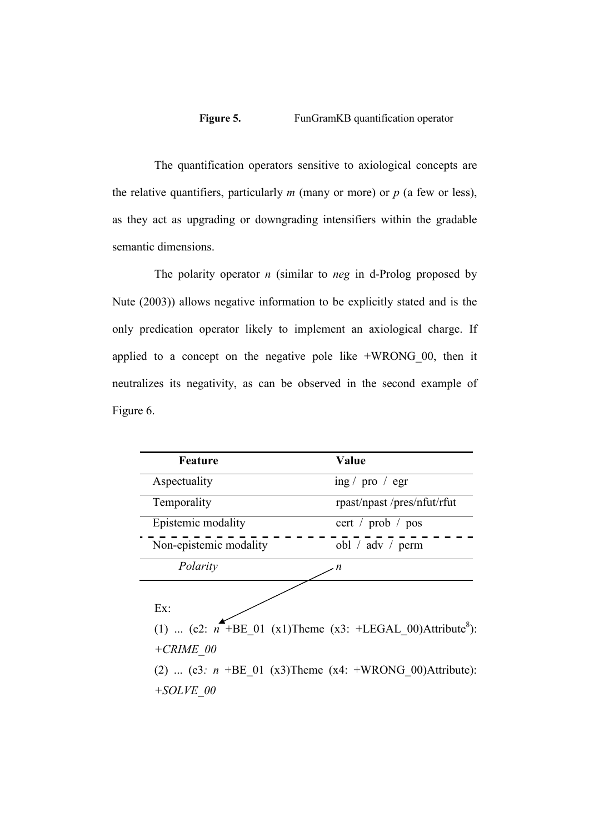# Figure 5. FunGramKB quantification operator

 The quantification operators sensitive to axiological concepts are the relative quantifiers, particularly  $m$  (many or more) or  $p$  (a few or less), as they act as upgrading or downgrading intensifiers within the gradable semantic dimensions.

The polarity operator  $n$  (similar to neg in d-Prolog proposed by Nute (2003)) allows negative information to be explicitly stated and is the only predication operator likely to implement an axiological charge. If applied to a concept on the negative pole like +WRONG\_00, then it neutralizes its negativity, as can be observed in the second example of Figure 6.

| Feature                                                                                                                                                                           | Value                              |
|-----------------------------------------------------------------------------------------------------------------------------------------------------------------------------------|------------------------------------|
| Aspectuality                                                                                                                                                                      | ing / $pro / egr$                  |
| Temporality                                                                                                                                                                       | rpast/npast/pres/nfut/rfut         |
| Epistemic modality                                                                                                                                                                | cert / prob / pos                  |
| Non-epistemic modality                                                                                                                                                            | obl / $\text{adv}$ / $\text{perm}$ |
| Polarity                                                                                                                                                                          |                                    |
| Ex:<br>(1)  (e2: $n^{-}$ +BE 01 (x1)Theme (x3: +LEGAL 00)Attribute <sup>8</sup> ):<br>$+CRIME$ 00<br>(2)  (e3: $n + BE$ 01 (x3) Theme (x4: +WRONG 00) Attribute):<br>$+ SOLVE$ 00 |                                    |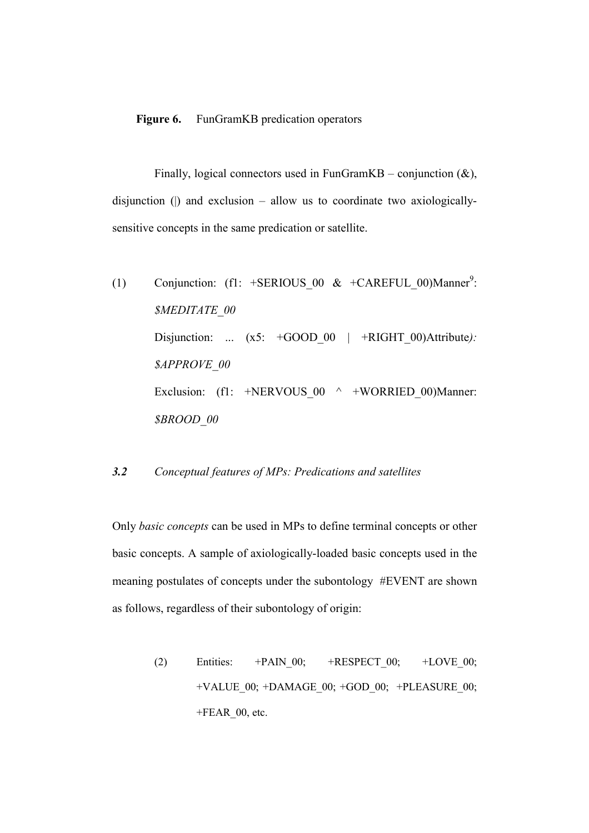#### Figure 6. FunGramKB predication operators

Finally, logical connectors used in FunGramKB – conjunction  $(\&)$ , disjunction ( $\vert$ ) and exclusion – allow us to coordinate two axiologicallysensitive concepts in the same predication or satellite.

(1) Conjunction:  $(f1: +SERIOUS_00 \& +CAREFLL_00) \text{Manner}^9$ : \$MEDITATE\_00 Disjunction: ...  $(x5: +GOOD_00 \mid +RIGHT_00)$  Attribute): \$APPROVE\_00 Exclusion: (f1: +NERVOUS  $00 \wedge +WORRIED$  00)Manner: \$BROOD\_00

# 3.2 Conceptual features of MPs: Predications and satellites

Only basic concepts can be used in MPs to define terminal concepts or other basic concepts. A sample of axiologically-loaded basic concepts used in the meaning postulates of concepts under the subontology #EVENT are shown as follows, regardless of their subontology of origin:

> (2) Entities:  $+PAIN 00;$   $+RESPECT 00;$   $+LOVE 00;$  $+VALUE$  00;  $+DAMAGE$  00;  $+GOD$  00;  $+PLEASURE$  00;  $+FEAR$  00, etc.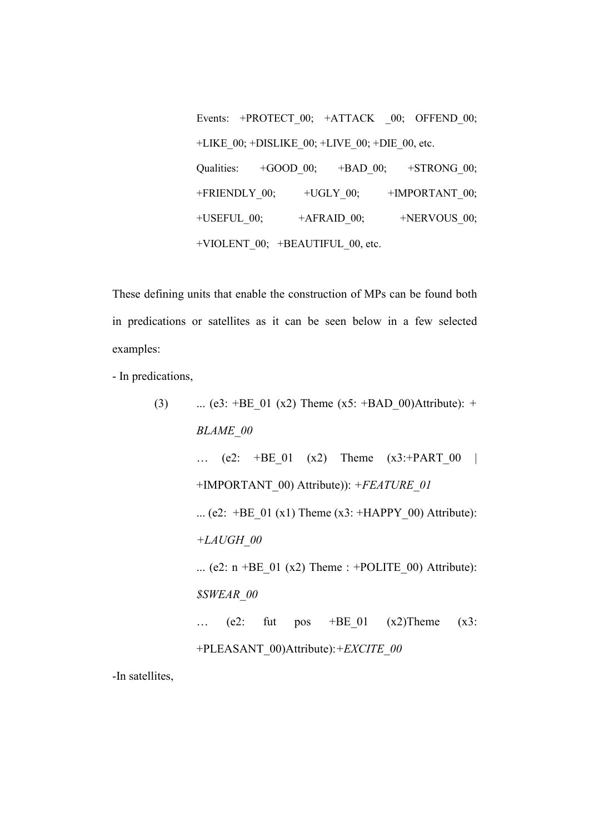Events: +PROTECT\_00; +ATTACK \_00; OFFEND\_00; +LIKE\_00; +DISLIKE\_00; +LIVE\_00; +DIE\_00, etc. Qualities: +GOOD\_00; +BAD\_00; +STRONG\_00;  $+FRIENDLY_00;$   $+UGLY_00;$   $+IMPORTANT_00;$ +USEFUL\_00; +AFRAID\_00; +NERVOUS\_00; +VIOLENT\_00; +BEAUTIFUL\_00, etc.

These defining units that enable the construction of MPs can be found both in predications or satellites as it can be seen below in a few selected examples:

- In predications,

(3) ... (e3: +BE\_01 (x2) Theme (x5: +BAD\_00)Attribute): + BLAME\_00 … (e2: +BE\_01 (x2) Theme (x3:+PART\_00 | +IMPORTANT\_00) Attribute)): +FEATURE\_01 ... (e2: +BE\_01 (x1) Theme (x3: +HAPPY\_00) Attribute): +LAUGH\_00 ... (e2: n +BE\_01 (x2) Theme : +POLITE\_00) Attribute): \$SWEAR\_00 … (e2: fut pos +BE\_01 (x2)Theme (x3: +PLEASANT\_00)Attribute):+EXCITE\_00

-In satellites,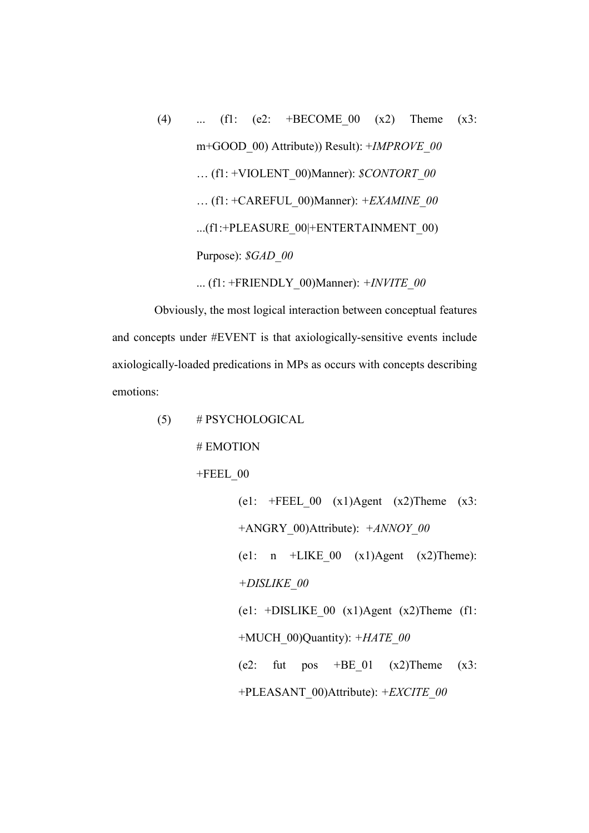(4) ... (f1: (e2: +BECOME\_00 (x2) Theme (x3: m+GOOD 00) Attribute)) Result): +IMPROVE 00 ... (f1: +VIOLENT\_00)Manner):  $$CONTORT$  00 ... (f1: +CAREFUL\_00)Manner):  $+EXAMPLE$  00 ...(f1:+PLEASURE\_00|+ENTERTAINMENT\_00) Purpose):  $$GAD$  00

... (f1: +FRIENDLY\_00)Manner):  $+INVITE$  00

 Obviously, the most logical interaction between conceptual features and concepts under #EVENT is that axiologically-sensitive events include axiologically-loaded predications in MPs as occurs with concepts describing emotions:

(5) # PSYCHOLOGICAL

# EMOTION

 $+$ FEEL 00

(e1:  $\text{FEEL}_000 \quad (x1)$ Agent  $(x2)$ Theme  $(x3)$ : +ANGRY\_00)Attribute):  $+ANNOY$  00 (e1:  $n$  +LIKE\_00 (x1)Agent (x2)Theme): +DISLIKE\_00 (e1: +DISLIKE 00  $(x1)$ Agent  $(x2)$ Theme (f1: +MUCH\_00)Quantity):  $+HATE$  00 (e2: fut pos  $+BE_01$  (x2)Theme (x3: +PLEASANT\_00)Attribute): +EXCITE\_00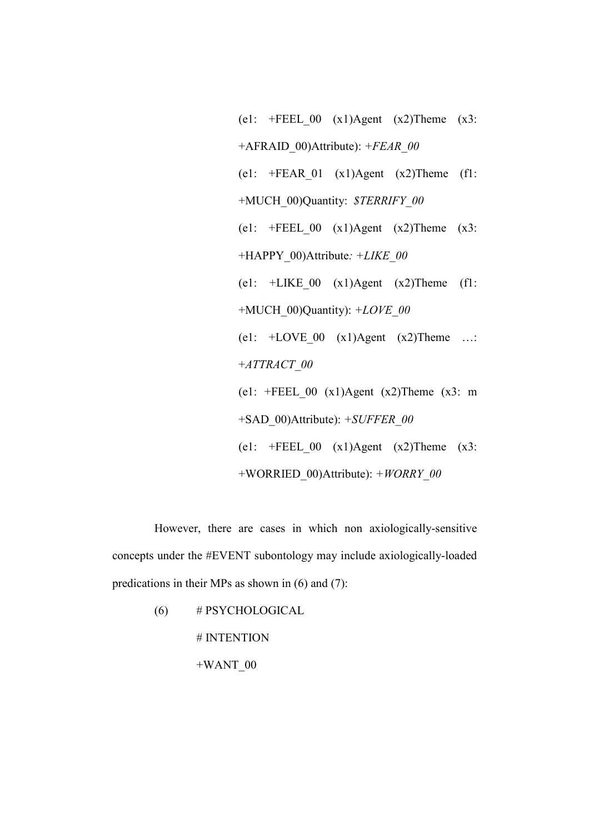(e1:  $\text{FPEEL } 00 \text{ (x1)Agent (x2)Then (x3):}$ +AFRAID  $00)$ Attribute): +FEAR 00 (e1:  $\text{+FEAR } 01 \text{ (x1)Agent (x2)Then}$  (f1: +MUCH\_00)Quantity: \$TERRIFY\_00 (e1:  $\text{FPEEL } 00 \text{ (x1)Agent (x2)Then (x3):}$ +HAPPY\_00)Attribute: +LIKE\_00 (e1:  $+LIKE_00$  (x1)Agent (x2)Theme (f1: +MUCH\_00)Quantity):  $+LOVE$ \_00 (e1: +LOVE\_00 (x1)Agent (x2)Theme …: +ATTRACT\_00 (e1:  $\text{FEEL}$  00 (x1)Agent (x2)Theme (x3: m) +SAD\_00)Attribute): +SUFFER\_00 (e1:  $\text{FEEL } 00 \text{ (x1)Agent (x2)Then (x3):}$ +WORRIED  $00)$ Attribute): +WORRY 00

 However, there are cases in which non axiologically-sensitive concepts under the #EVENT subontology may include axiologically-loaded predications in their MPs as shown in (6) and (7):

(6) # PSYCHOLOGICAL

# INTENTION

 $+WANT$  00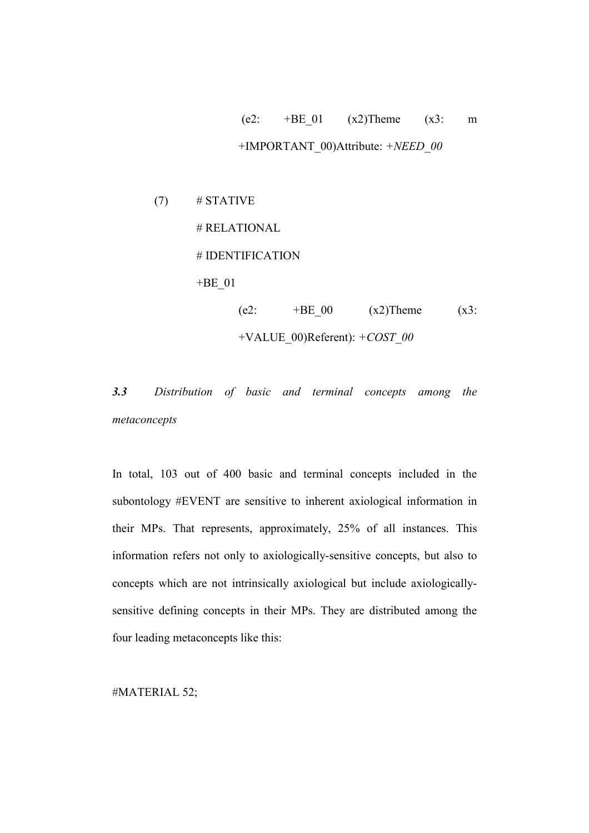# (e2:  $+BE \t01$  (x2)Theme (x3: m +IMPORTANT\_00)Attribute:  $+NEED$  00

 $(7)$  # STATIVE # RELATIONAL # IDENTIFICATION +BE\_01 (e2:  $+BE \t00$  (x2)Theme (x3: +VALUE\_00)Referent): +COST\_00

3.3 Distribution of basic and terminal concepts among the metaconcepts

In total, 103 out of 400 basic and terminal concepts included in the subontology #EVENT are sensitive to inherent axiological information in their MPs. That represents, approximately, 25% of all instances. This information refers not only to axiologically-sensitive concepts, but also to concepts which are not intrinsically axiological but include axiologicallysensitive defining concepts in their MPs. They are distributed among the four leading metaconcepts like this:

#MATERIAL 52;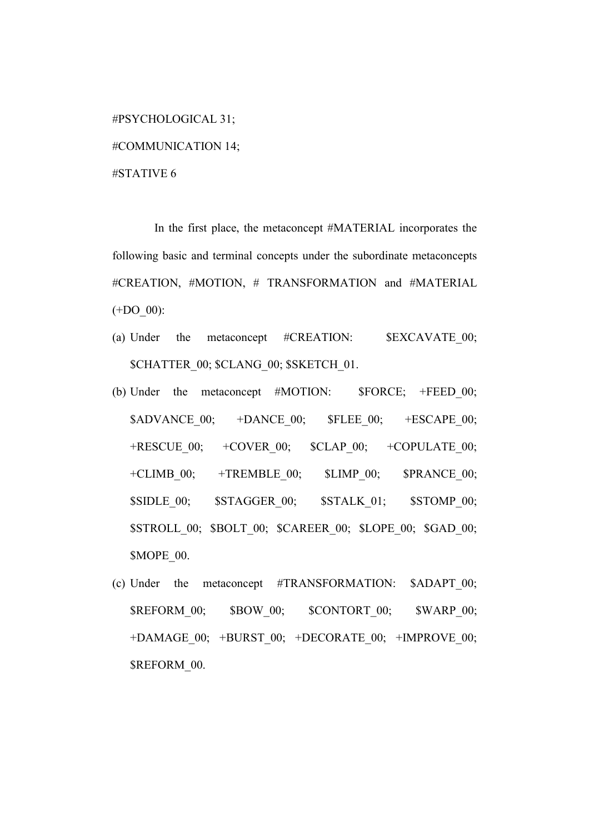#PSYCHOLOGICAL 31; #COMMUNICATION 14; #STATIVE 6

 In the first place, the metaconcept #MATERIAL incorporates the following basic and terminal concepts under the subordinate metaconcepts #CREATION, #MOTION, # TRANSFORMATION and #MATERIAL (+DO\_00):

- (a) Under the metaconcept  $\#{\text{CREATION}}$ :  $\${\text{EXCAVATE~00}}$ ; \$CHATTER\_00; \$CLANG\_00; \$SKETCH\_01.
- (b) Under the metaconcept #MOTION: \$FORCE; +FEED 00;  $SADVANCE$  00;  $+DANCE$  00;  $SFEEE$  00;  $+ESCAPE$  00; +RESCUE  $00;$  +COVER  $00;$  \$CLAP  $00;$  +COPULATE  $00;$ +CLIMB $00;$  +TREMBLE $00;$  \$LIMP $00;$  \$PRANCE $00;$ \$SIDLE\_00; \$STAGGER\_00; \$STALK\_01; \$STOMP\_00; \$STROLL\_00; \$BOLT\_00; \$CAREER\_00; \$LOPE\_00; \$GAD\_00; \$MOPE\_00.
- (c) Under the metaconcept #TRANSFORMATION: \$ADAPT\_00; \$REFORM\_00; \$BOW\_00; \$CONTORT\_00; \$WARP\_00; +DAMAGE\_00; +BURST\_00; +DECORATE\_00; +IMPROVE\_00; \$REFORM 00.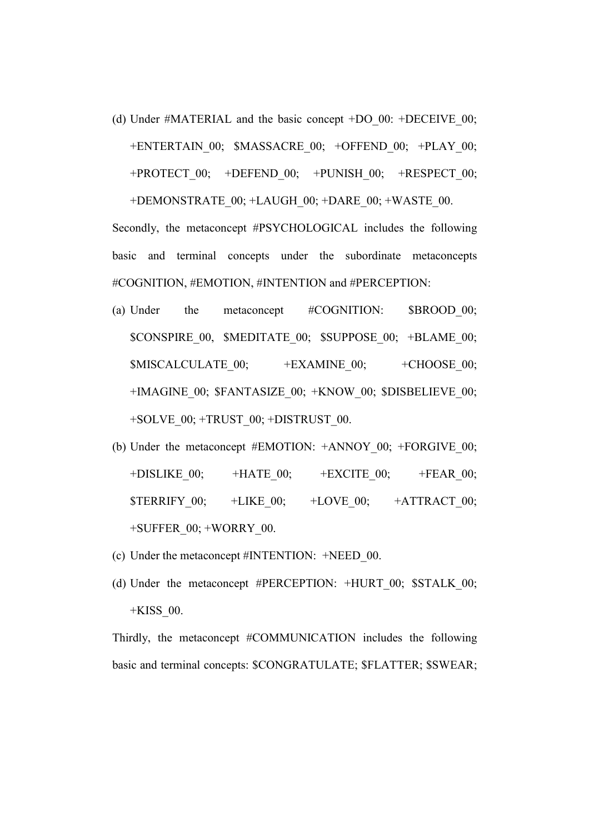(d) Under #MATERIAL and the basic concept +DO\_00: +DECEIVE\_00; +ENTERTAIN\_00; \$MASSACRE\_00; +OFFEND\_00; +PLAY\_00;  $+$ PROTECT 00;  $+$ DEFEND 00;  $+$ PUNISH 00;  $+$ RESPECT 00; +DEMONSTRATE\_00; +LAUGH\_00; +DARE\_00; +WASTE\_00.

Secondly, the metaconcept #PSYCHOLOGICAL includes the following basic and terminal concepts under the subordinate metaconcepts #COGNITION, #EMOTION, #INTENTION and #PERCEPTION:

- (a) Under the metaconcept #COGNITION: \$BROOD 00; \$CONSPIRE\_00, \$MEDITATE\_00; \$SUPPOSE\_00; +BLAME\_00; \$MISCALCULATE\_00; +EXAMINE\_00; +CHOOSE\_00; +IMAGINE\_00; \$FANTASIZE\_00; +KNOW\_00; \$DISBELIEVE\_00; +SOLVE\_00; +TRUST\_00; +DISTRUST\_00.
- (b) Under the metaconcept #EMOTION: +ANNOY 00; +FORGIVE 00; +DISLIKE  $00;$  +HATE  $00;$  +EXCITE  $00;$  +FEAR  $00;$  $\text{STERRIFY}$  00;  $+LIKE$  00;  $+LOVE$  00;  $+ATTRACT$  00; +SUFFER\_00; +WORRY\_00.
- (c) Under the metaconcept #INTENTION: +NEED\_00.
- (d) Under the metaconcept #PERCEPTION: +HURT 00; \$STALK 00; +KISS\_00.

Thirdly, the metaconcept #COMMUNICATION includes the following basic and terminal concepts: \$CONGRATULATE; \$FLATTER; \$SWEAR;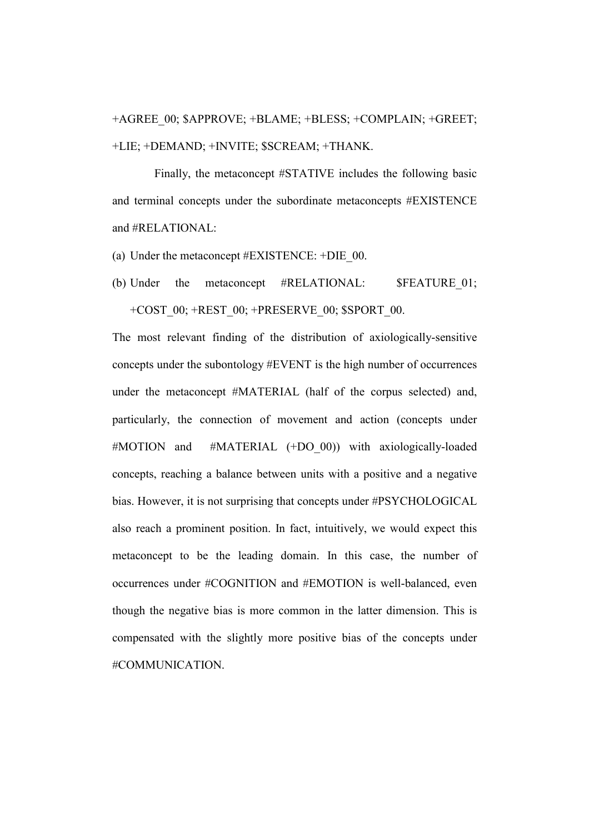+AGREE\_00; \$APPROVE; +BLAME; +BLESS; +COMPLAIN; +GREET; +LIE; +DEMAND; +INVITE; \$SCREAM; +THANK.

 Finally, the metaconcept #STATIVE includes the following basic and terminal concepts under the subordinate metaconcepts #EXISTENCE and #RELATIONAL:

(a) Under the metaconcept #EXISTENCE: +DIE\_00.

(b) Under the metaconcept #RELATIONAL: \$FEATURE 01; +COST\_00; +REST\_00; +PRESERVE\_00; \$SPORT\_00.

The most relevant finding of the distribution of axiologically-sensitive concepts under the subontology #EVENT is the high number of occurrences under the metaconcept #MATERIAL (half of the corpus selected) and, particularly, the connection of movement and action (concepts under #MOTION and #MATERIAL (+DO 00)) with axiologically-loaded concepts, reaching a balance between units with a positive and a negative bias. However, it is not surprising that concepts under #PSYCHOLOGICAL also reach a prominent position. In fact, intuitively, we would expect this metaconcept to be the leading domain. In this case, the number of occurrences under #COGNITION and #EMOTION is well-balanced, even though the negative bias is more common in the latter dimension. This is compensated with the slightly more positive bias of the concepts under #COMMUNICATION.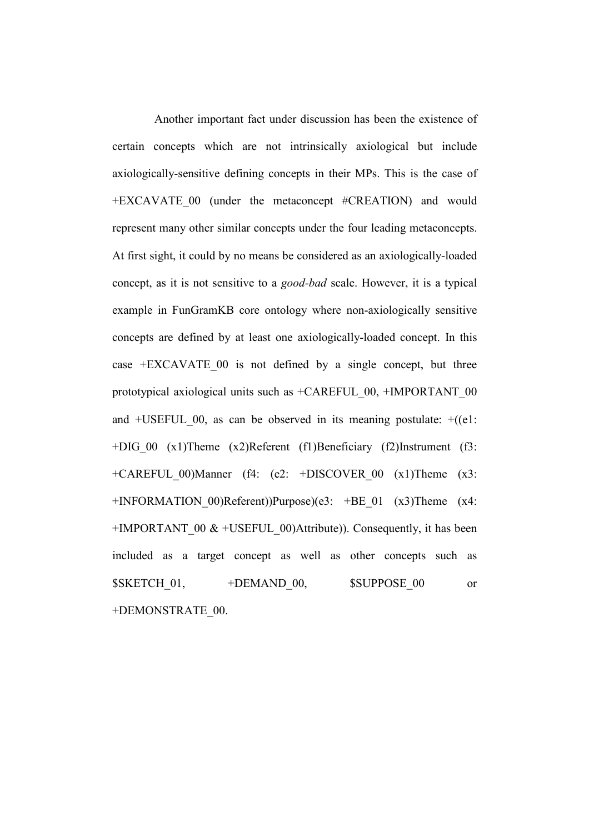Another important fact under discussion has been the existence of certain concepts which are not intrinsically axiological but include axiologically-sensitive defining concepts in their MPs. This is the case of +EXCAVATE\_00 (under the metaconcept #CREATION) and would represent many other similar concepts under the four leading metaconcepts. At first sight, it could by no means be considered as an axiologically-loaded concept, as it is not sensitive to a good-bad scale. However, it is a typical example in FunGramKB core ontology where non-axiologically sensitive concepts are defined by at least one axiologically-loaded concept. In this case  $+EXCAVATE$  00 is not defined by a single concept, but three prototypical axiological units such as +CAREFUL\_00, +IMPORTANT\_00 and  $+USEFUL$  00, as can be observed in its meaning postulate:  $+(e1)$ : +DIG\_00 (x1)Theme (x2)Referent (f1)Beneficiary (f2)Instrument (f3: +CAREFUL\_00)Manner (f4: (e2: +DISCOVER\_00 (x1)Theme (x3: +INFORMATION\_00)Referent))Purpose)(e3: +BE\_01 (x3)Theme (x4: +IMPORTANT 00  $&$  +USEFUL 00)Attribute)). Consequently, it has been included as a target concept as well as other concepts such as \$SKETCH\_01, +DEMAND\_00, \$SUPPOSE\_00 or +DEMONSTRATE\_00.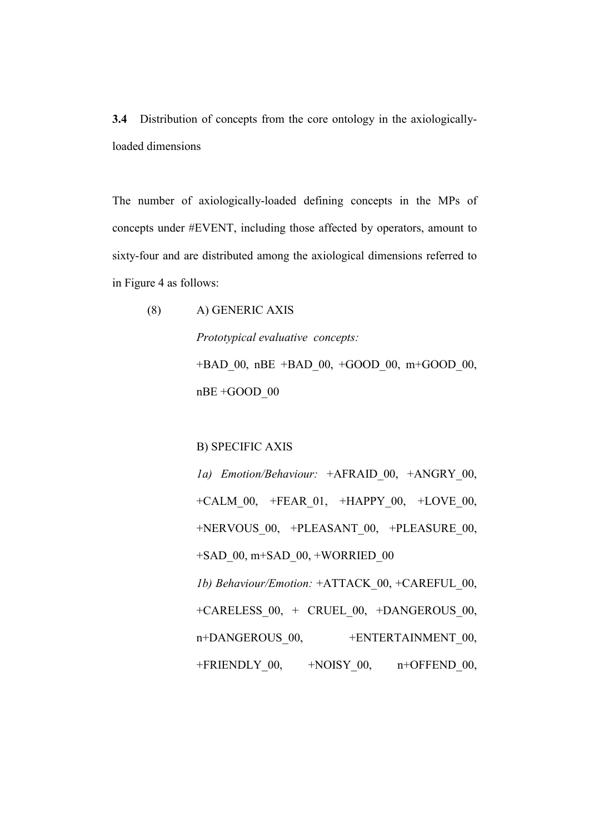3.4 Distribution of concepts from the core ontology in the axiologicallyloaded dimensions

The number of axiologically-loaded defining concepts in the MPs of concepts under #EVENT, including those affected by operators, amount to sixty-four and are distributed among the axiological dimensions referred to in Figure 4 as follows:

(8) A) GENERIC AXIS Prototypical evaluative concepts: +BAD\_00, nBE +BAD\_00, +GOOD\_00, m+GOOD\_00, nBE +GOOD\_00

B) SPECIFIC AXIS

1a) Emotion/Behaviour: +AFRAID 00, +ANGRY 00, +CALM\_00, +FEAR\_01, +HAPPY\_00, +LOVE\_00, +NERVOUS\_00, +PLEASANT\_00, +PLEASURE\_00, +SAD\_00, m+SAD\_00, +WORRIED\_00 1b) Behaviour/Emotion: +ATTACK\_00, +CAREFUL\_00, +CARELESS\_00, + CRUEL\_00, +DANGEROUS\_00, n+DANGEROUS 00, +ENTERTAINMENT 00,  $+FRIENDLY$  00,  $+NOISY$  00, n+OFFEND 00,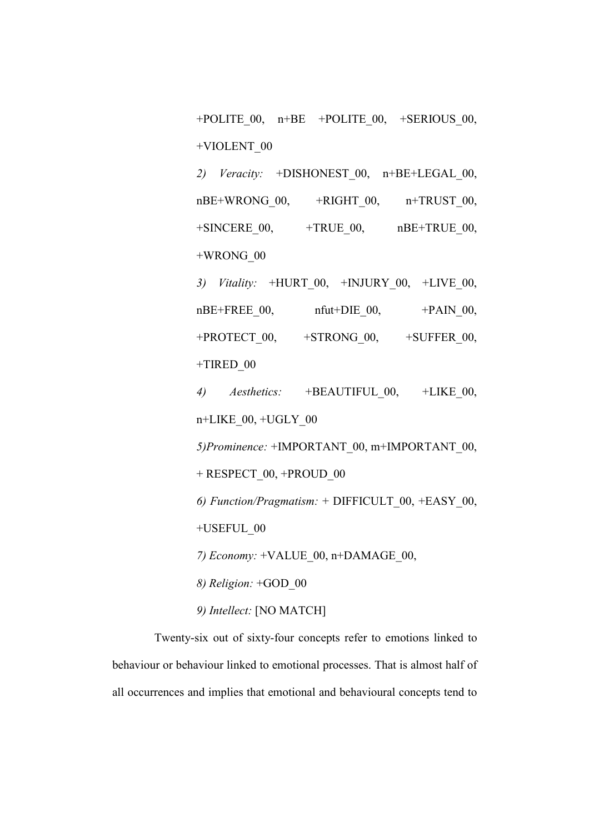+POLITE  $00$ , n+BE +POLITE  $00$ , +SERIOUS  $00$ , +VIOLENT\_00

2) Veracity:  $+DISHONEST$  00, n+BE+LEGAL 00,  $nBE+WRONG$  00,  $+RIGHT$  00,  $n+TRUST$  00,  $+$ SINCERE 00,  $+$ TRUE 00, nBE+TRUE 00, +WRONG\_00

3) Vitality:  $+HURT_00, +INJURY_00, +LIVE_00,$  $nBE+FREE$  00,  $nfut+DIE$  00,  $+PAIN$  00, +PROTECT 00, +STRONG 00, +SUFFER 00, +TIRED\_00

4) Aesthetics: +BEAUTIFUL 00, +LIKE 00, n+LIKE\_00, +UGLY\_00 5)Prominence: +IMPORTANT\_00, m+IMPORTANT\_00, + RESPECT\_00, +PROUD\_00 6) Function/Pragmatism: + DIFFICULT\_00, +EASY\_00, +USEFUL\_00 7) Economy: +VALUE\_00, n+DAMAGE\_00, 8) Religion: +GOD\_00 9) Intellect: [NO MATCH]

 Twenty-six out of sixty-four concepts refer to emotions linked to behaviour or behaviour linked to emotional processes. That is almost half of all occurrences and implies that emotional and behavioural concepts tend to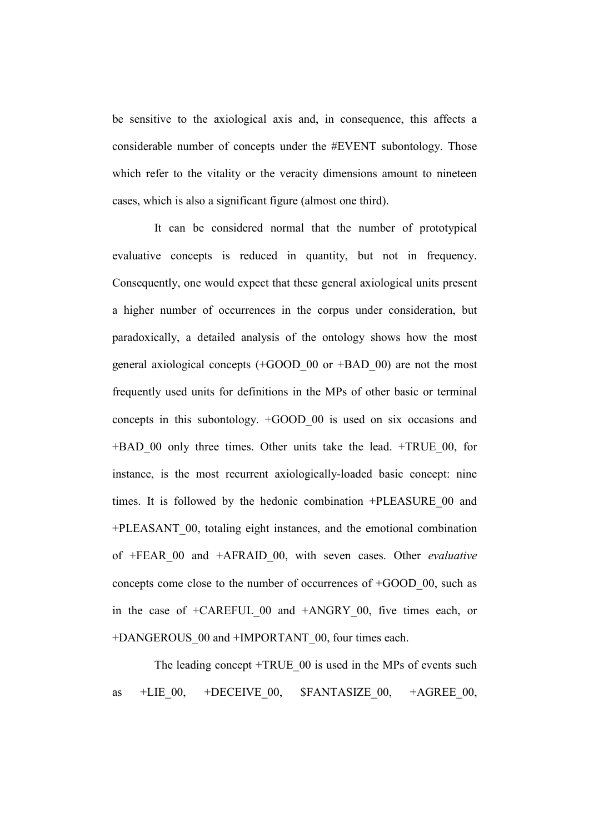be sensitive to the axiological axis and, in consequence, this affects a considerable number of concepts under the #EVENT subontology. Those which refer to the vitality or the veracity dimensions amount to nineteen cases, which is also a significant figure (almost one third).

 It can be considered normal that the number of prototypical evaluative concepts is reduced in quantity, but not in frequency. Consequently, one would expect that these general axiological units present a higher number of occurrences in the corpus under consideration, but paradoxically, a detailed analysis of the ontology shows how the most general axiological concepts (+GOOD\_00 or +BAD\_00) are not the most frequently used units for definitions in the MPs of other basic or terminal concepts in this subontology. +GOOD\_00 is used on six occasions and +BAD\_00 only three times. Other units take the lead. +TRUE\_00, for instance, is the most recurrent axiologically-loaded basic concept: nine times. It is followed by the hedonic combination +PLEASURE\_00 and +PLEASANT\_00, totaling eight instances, and the emotional combination of +FEAR 00 and +AFRAID 00, with seven cases. Other *evaluative* concepts come close to the number of occurrences of +GOOD\_00, such as in the case of +CAREFUL 00 and +ANGRY 00, five times each, or +DANGEROUS 00 and +IMPORTANT 00, four times each.

The leading concept +TRUE 00 is used in the MPs of events such as  $+LIE$  00,  $+DECEIVE$  00,  $$FANTASIZE$  00,  $+AGREE$  00,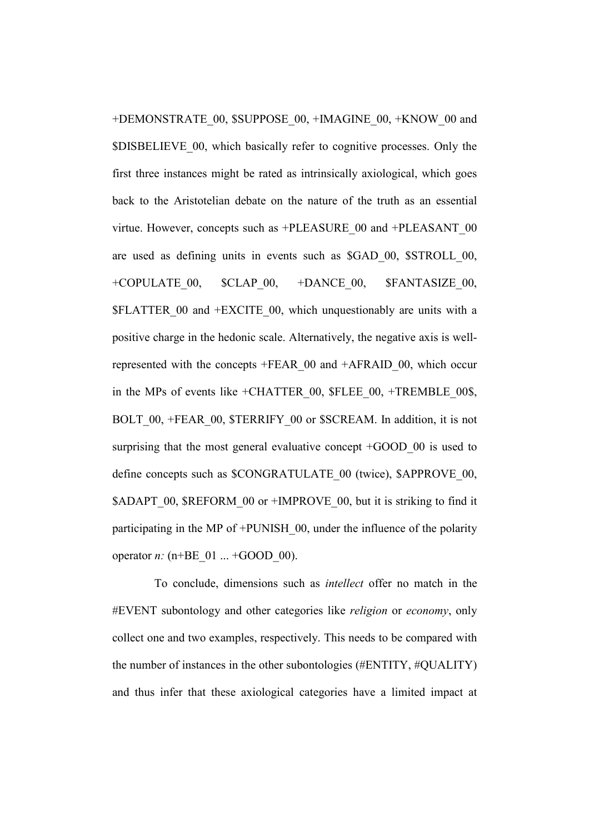+DEMONSTRATE\_00, \$SUPPOSE\_00, +IMAGINE\_00, +KNOW\_00 and \$DISBELIEVE\_00, which basically refer to cognitive processes. Only the first three instances might be rated as intrinsically axiological, which goes back to the Aristotelian debate on the nature of the truth as an essential virtue. However, concepts such as +PLEASURE\_00 and +PLEASANT\_00 are used as defining units in events such as \$GAD\_00, \$STROLL\_00, +COPULATE\_00, \$CLAP\_00, +DANCE\_00, \$FANTASIZE\_00, \$FLATTER\_00 and +EXCITE\_00, which unquestionably are units with a positive charge in the hedonic scale. Alternatively, the negative axis is wellrepresented with the concepts +FEAR\_00 and +AFRAID\_00, which occur in the MPs of events like +CHATTER 00, \$FLEE 00, +TREMBLE 00\$, BOLT 00, +FEAR 00, \$TERRIFY 00 or \$SCREAM. In addition, it is not surprising that the most general evaluative concept +GOOD 00 is used to define concepts such as \$CONGRATULATE\_00 (twice), \$APPROVE\_00, \$ADAPT\_00, \$REFORM\_00 or +IMPROVE\_00, but it is striking to find it participating in the MP of +PUNISH\_00, under the influence of the polarity operator *n*:  $(n+BE_01 ... +GOOD_00)$ .

 To conclude, dimensions such as intellect offer no match in the #EVENT subontology and other categories like religion or economy, only collect one and two examples, respectively. This needs to be compared with the number of instances in the other subontologies (#ENTITY, #QUALITY) and thus infer that these axiological categories have a limited impact at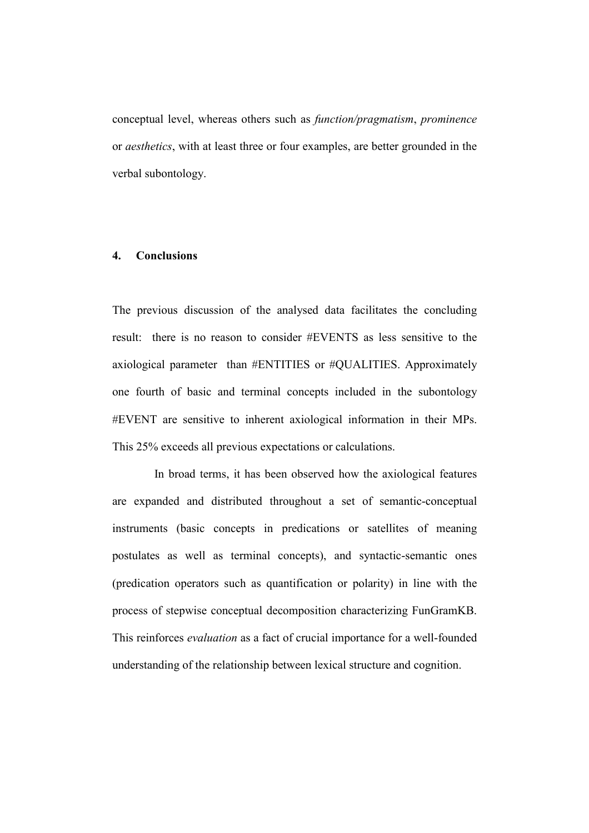conceptual level, whereas others such as function/pragmatism, prominence or aesthetics, with at least three or four examples, are better grounded in the verbal subontology.

## 4. Conclusions

The previous discussion of the analysed data facilitates the concluding result: there is no reason to consider #EVENTS as less sensitive to the axiological parameter than #ENTITIES or #QUALITIES. Approximately one fourth of basic and terminal concepts included in the subontology #EVENT are sensitive to inherent axiological information in their MPs. This 25% exceeds all previous expectations or calculations.

 In broad terms, it has been observed how the axiological features are expanded and distributed throughout a set of semantic-conceptual instruments (basic concepts in predications or satellites of meaning postulates as well as terminal concepts), and syntactic-semantic ones (predication operators such as quantification or polarity) in line with the process of stepwise conceptual decomposition characterizing FunGramKB. This reinforces evaluation as a fact of crucial importance for a well-founded understanding of the relationship between lexical structure and cognition.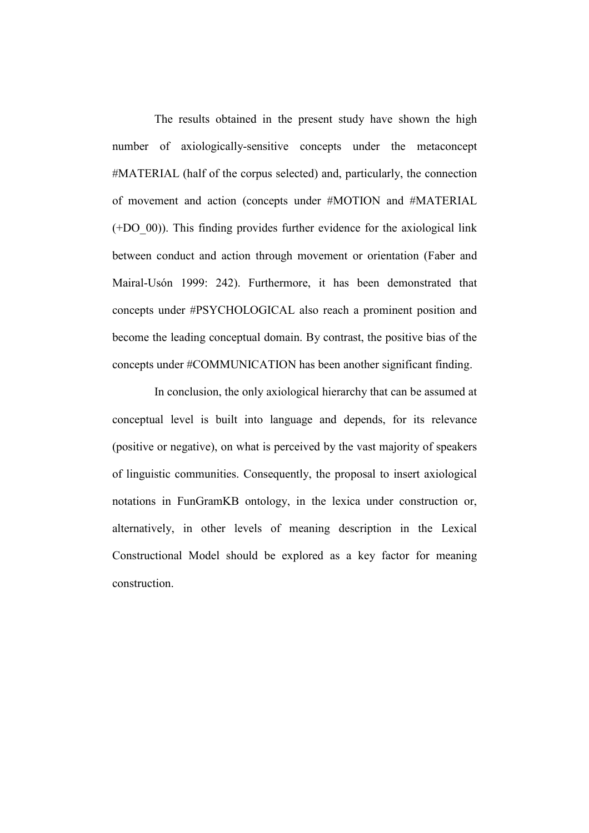The results obtained in the present study have shown the high number of axiologically-sensitive concepts under the metaconcept #MATERIAL (half of the corpus selected) and, particularly, the connection of movement and action (concepts under #MOTION and #MATERIAL (+DO\_00)). This finding provides further evidence for the axiological link between conduct and action through movement or orientation (Faber and Mairal-Usón 1999: 242). Furthermore, it has been demonstrated that concepts under #PSYCHOLOGICAL also reach a prominent position and become the leading conceptual domain. By contrast, the positive bias of the concepts under #COMMUNICATION has been another significant finding.

 In conclusion, the only axiological hierarchy that can be assumed at conceptual level is built into language and depends, for its relevance (positive or negative), on what is perceived by the vast majority of speakers of linguistic communities. Consequently, the proposal to insert axiological notations in FunGramKB ontology, in the lexica under construction or, alternatively, in other levels of meaning description in the Lexical Constructional Model should be explored as a key factor for meaning construction.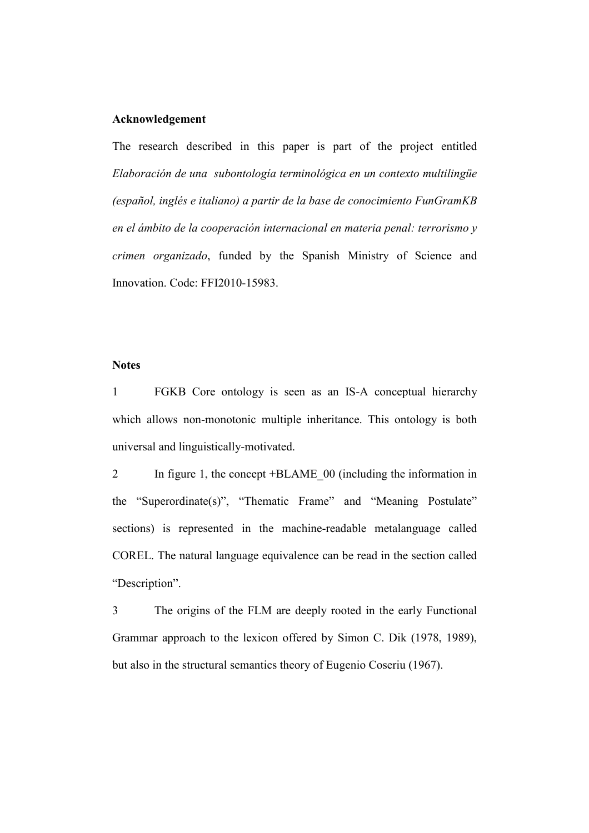# Acknowledgement

The research described in this paper is part of the project entitled Elaboración de una subontología terminológica en un contexto multilingüe (español, inglés e italiano) a partir de la base de conocimiento FunGramKB en el ámbito de la cooperación internacional en materia penal: terrorismo y crimen organizado, funded by the Spanish Ministry of Science and Innovation. Code: FFI2010-15983.

## **Notes**

1 FGKB Core ontology is seen as an IS-A conceptual hierarchy which allows non-monotonic multiple inheritance. This ontology is both universal and linguistically-motivated.

2 In figure 1, the concept +BLAME\_00 (including the information in the "Superordinate(s)", "Thematic Frame" and "Meaning Postulate" sections) is represented in the machine-readable metalanguage called COREL. The natural language equivalence can be read in the section called "Description".

3 The origins of the FLM are deeply rooted in the early Functional Grammar approach to the lexicon offered by Simon C. Dik (1978, 1989), but also in the structural semantics theory of Eugenio Coseriu (1967).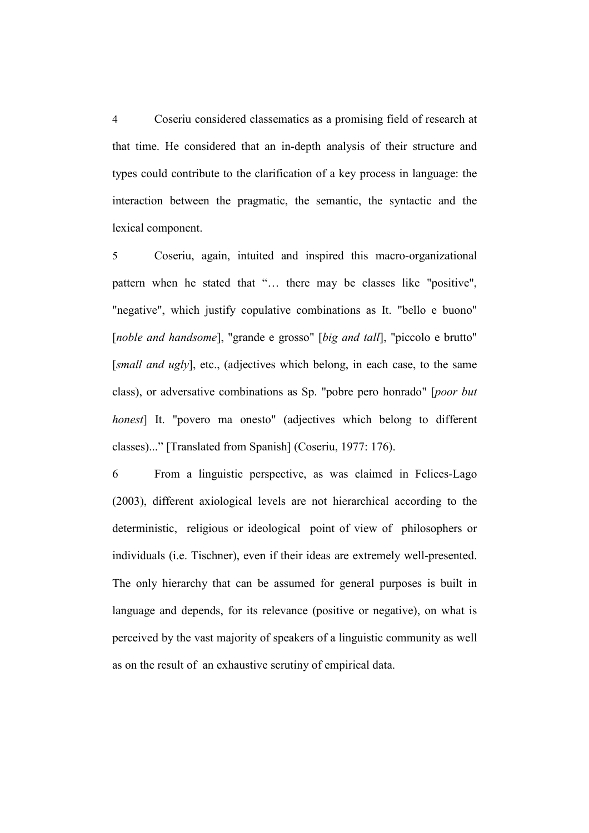4 Coseriu considered classematics as a promising field of research at that time. He considered that an in-depth analysis of their structure and types could contribute to the clarification of a key process in language: the interaction between the pragmatic, the semantic, the syntactic and the lexical component.

5 Coseriu, again, intuited and inspired this macro-organizational pattern when he stated that "… there may be classes like "positive", "negative", which justify copulative combinations as It. "bello e buono" [noble and handsome], "grande e grosso" [big and tall], "piccolo e brutto" [small and ugly], etc., (adjectives which belong, in each case, to the same class), or adversative combinations as Sp. "pobre pero honrado" [poor but honest] It. "povero ma onesto" (adjectives which belong to different classes)..." [Translated from Spanish] (Coseriu, 1977: 176).

6 From a linguistic perspective, as was claimed in Felices-Lago (2003), different axiological levels are not hierarchical according to the deterministic, religious or ideological point of view of philosophers or individuals (i.e. Tischner), even if their ideas are extremely well-presented. The only hierarchy that can be assumed for general purposes is built in language and depends, for its relevance (positive or negative), on what is perceived by the vast majority of speakers of a linguistic community as well as on the result of an exhaustive scrutiny of empirical data.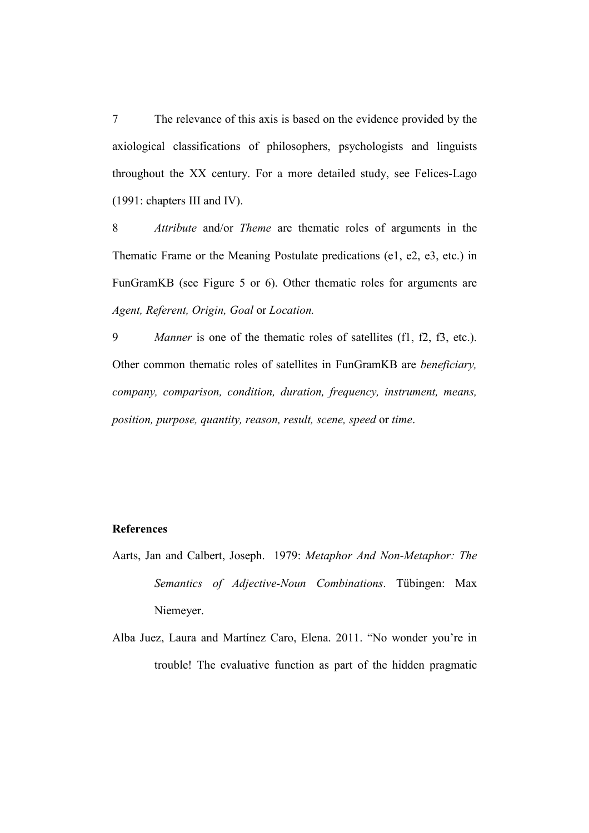7 The relevance of this axis is based on the evidence provided by the axiological classifications of philosophers, psychologists and linguists throughout the XX century. For a more detailed study, see Felices-Lago (1991: chapters III and IV).

8 Attribute and/or Theme are thematic roles of arguments in the Thematic Frame or the Meaning Postulate predications (e1, e2, e3, etc.) in FunGramKB (see Figure 5 or 6). Other thematic roles for arguments are Agent, Referent, Origin, Goal or Location.

9 *Manner* is one of the thematic roles of satellites (f1, f2, f3, etc.). Other common thematic roles of satellites in FunGramKB are beneficiary, company, comparison, condition, duration, frequency, instrument, means, position, purpose, quantity, reason, result, scene, speed or time.

# **References**

- Aarts, Jan and Calbert, Joseph. 1979: Metaphor And Non-Metaphor: The Semantics of Adjective-Noun Combinations. Tübingen: Max Niemeyer.
- Alba Juez, Laura and Martínez Caro, Elena. 2011. "No wonder you're in trouble! The evaluative function as part of the hidden pragmatic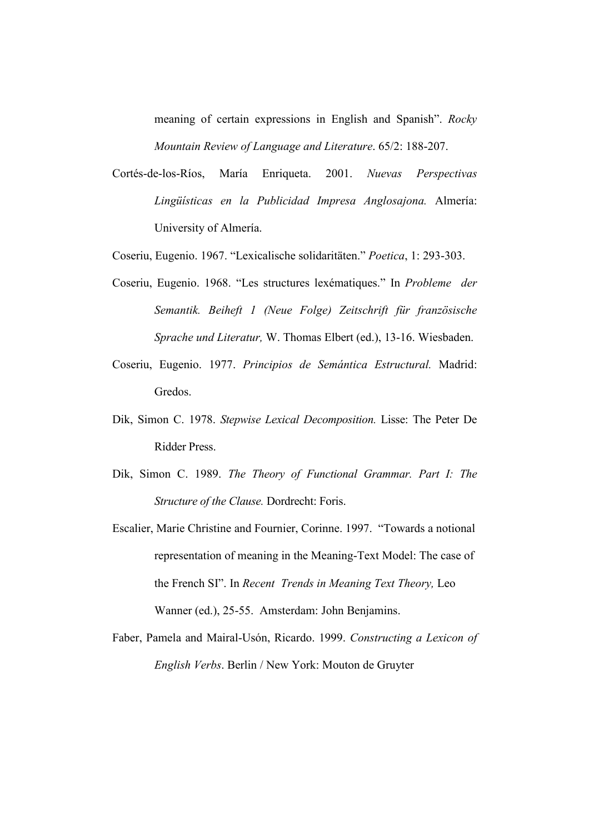meaning of certain expressions in English and Spanish". Rocky Mountain Review of Language and Literature. 65/2: 188-207.

Cortés-de-los-Ríos, María Enriqueta. 2001. Nuevas Perspectivas Lingüísticas en la Publicidad Impresa Anglosajona. Almería: University of Almería.

Coseriu, Eugenio. 1967. "Lexicalische solidaritäten." Poetica, 1: 293-303.

- Coseriu, Eugenio. 1968. "Les structures lexématiques." In Probleme der Semantik. Beiheft 1 (Neue Folge) Zeitschrift für französische Sprache und Literatur, W. Thomas Elbert (ed.), 13-16. Wiesbaden.
- Coseriu, Eugenio. 1977. Principios de Semántica Estructural. Madrid: Gredos.
- Dik, Simon C. 1978. Stepwise Lexical Decomposition. Lisse: The Peter De Ridder Press.
- Dik, Simon C. 1989. The Theory of Functional Grammar. Part I: The Structure of the Clause. Dordrecht: Foris.
- Escalier, Marie Christine and Fournier, Corinne. 1997. "Towards a notional representation of meaning in the Meaning-Text Model: The case of the French SI". In Recent Trends in Meaning Text Theory, Leo Wanner (ed.), 25-55. Amsterdam: John Benjamins.
- Faber, Pamela and Mairal-Usón, Ricardo. 1999. Constructing a Lexicon of English Verbs. Berlin / New York: Mouton de Gruyter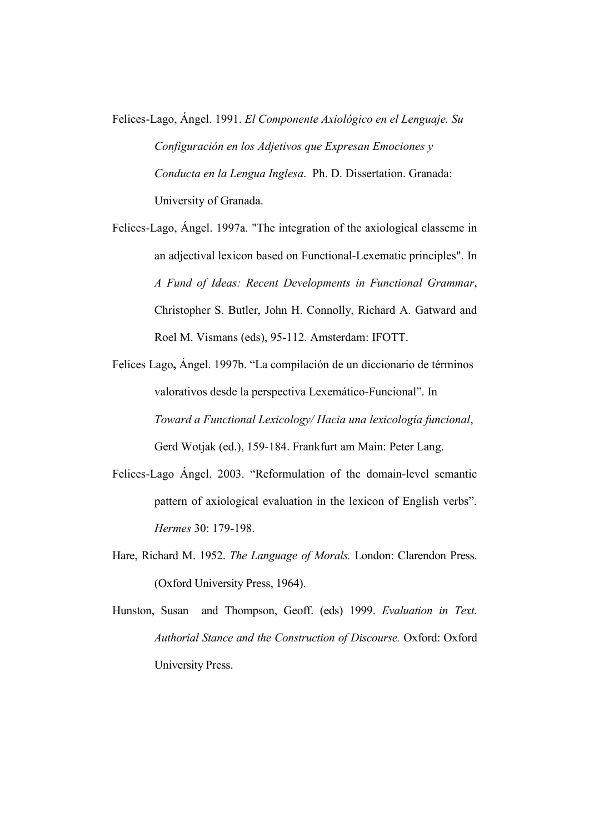- Felices-Lago, Ángel. 1991. El Componente Axiológico en el Lenguaje. Su Configuración en los Adjetivos que Expresan Emociones y Conducta en la Lengua Inglesa. Ph. D. Dissertation. Granada: University of Granada.
- Felices-Lago, Ángel. 1997a. "The integration of the axiological classeme in an adjectival lexicon based on Functional-Lexematic principles". In A Fund of Ideas: Recent Developments in Functional Grammar, Christopher S. Butler, John H. Connolly, Richard A. Gatward and Roel M. Vismans (eds), 95-112. Amsterdam: IFOTT.
- Felices Lago, Ángel. 1997b. "La compilación de un diccionario de términos valorativos desde la perspectiva Lexemático-Funcional". In Toward a Functional Lexicology/ Hacia una lexicología funcional, Gerd Wotjak (ed.), 159-184. Frankfurt am Main: Peter Lang.
- Felices-Lago Ángel. 2003. "Reformulation of the domain-level semantic pattern of axiological evaluation in the lexicon of English verbs". Hermes 30: 179-198.
- Hare, Richard M. 1952. The Language of Morals. London: Clarendon Press. (Oxford University Press, 1964).
- Hunston, Susan and Thompson, Geoff. (eds) 1999. Evaluation in Text. Authorial Stance and the Construction of Discourse. Oxford: Oxford University Press.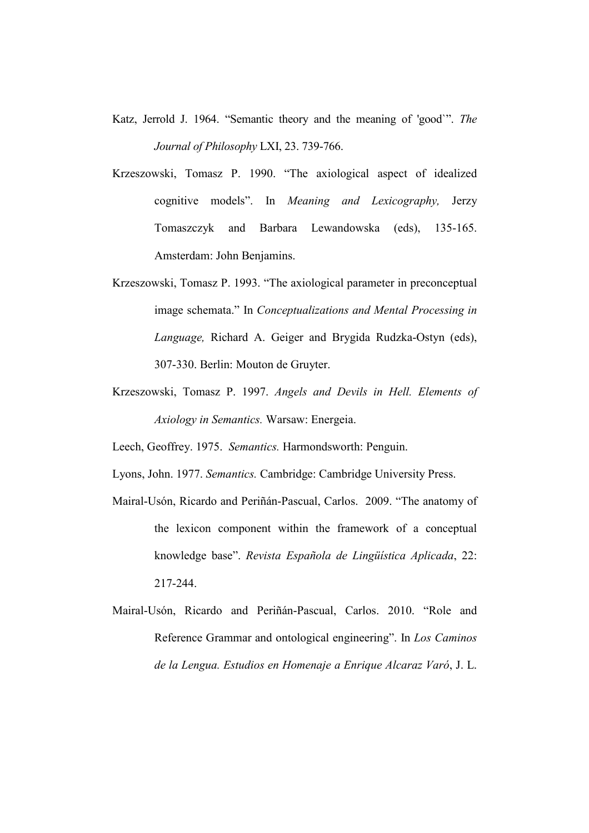- Katz, Jerrold J. 1964. "Semantic theory and the meaning of 'good`". The Journal of Philosophy LXI, 23. 739-766.
- Krzeszowski, Tomasz P. 1990. "The axiological aspect of idealized cognitive models". In Meaning and Lexicography, Jerzy Tomaszczyk and Barbara Lewandowska (eds), 135-165. Amsterdam: John Benjamins.
- Krzeszowski, Tomasz P. 1993. "The axiological parameter in preconceptual image schemata." In Conceptualizations and Mental Processing in Language, Richard A. Geiger and Brygida Rudzka-Ostyn (eds), 307-330. Berlin: Mouton de Gruyter.
- Krzeszowski, Tomasz P. 1997. Angels and Devils in Hell. Elements of Axiology in Semantics. Warsaw: Energeia.

Leech, Geoffrey. 1975. Semantics. Harmondsworth: Penguin.

Lyons, John. 1977. Semantics. Cambridge: Cambridge University Press.

- Mairal-Usón, Ricardo and Periñán-Pascual, Carlos. 2009. "The anatomy of the lexicon component within the framework of a conceptual knowledge base". Revista Española de Lingüística Aplicada, 22: 217-244.
- Mairal-Usón, Ricardo and Periñán-Pascual, Carlos. 2010. "Role and Reference Grammar and ontological engineering". In Los Caminos de la Lengua. Estudios en Homenaje a Enrique Alcaraz Varó, J. L.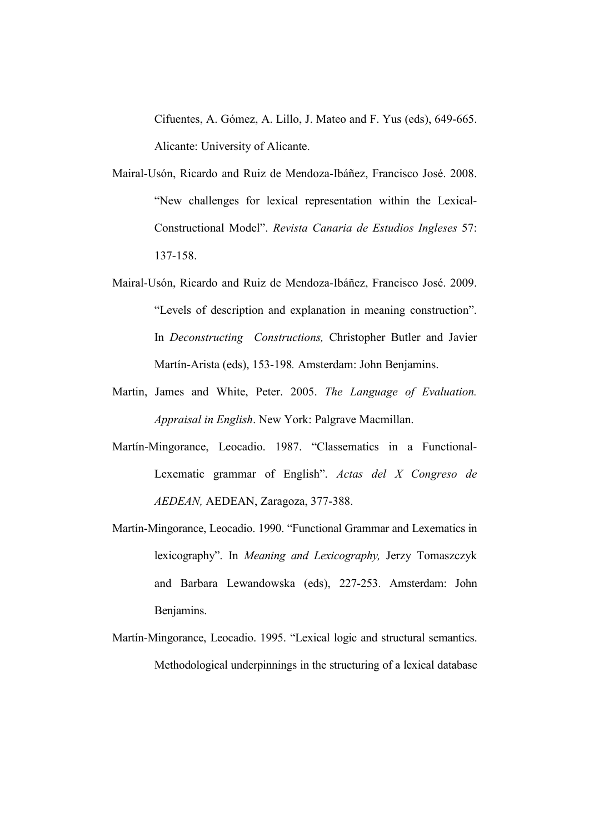Cifuentes, A. Gómez, A. Lillo, J. Mateo and F. Yus (eds), 649-665. Alicante: University of Alicante.

- Mairal-Usón, Ricardo and Ruiz de Mendoza-Ibáñez, Francisco José. 2008. "New challenges for lexical representation within the Lexical-Constructional Model". Revista Canaria de Estudios Ingleses 57: 137-158.
- Mairal-Usón, Ricardo and Ruiz de Mendoza-Ibáñez, Francisco José. 2009. "Levels of description and explanation in meaning construction". In Deconstructing Constructions, Christopher Butler and Javier Martín-Arista (eds), 153-198. Amsterdam: John Benjamins.
- Martin, James and White, Peter. 2005. The Language of Evaluation. Appraisal in English. New York: Palgrave Macmillan.
- Martín-Mingorance, Leocadio. 1987. "Classematics in a Functional-Lexematic grammar of English". Actas del X Congreso de AEDEAN, AEDEAN, Zaragoza, 377-388.
- Martín-Mingorance, Leocadio. 1990. "Functional Grammar and Lexematics in lexicography". In Meaning and Lexicography, Jerzy Tomaszczyk and Barbara Lewandowska (eds), 227-253. Amsterdam: John Benjamins.
- Martín-Mingorance, Leocadio. 1995. "Lexical logic and structural semantics. Methodological underpinnings in the structuring of a lexical database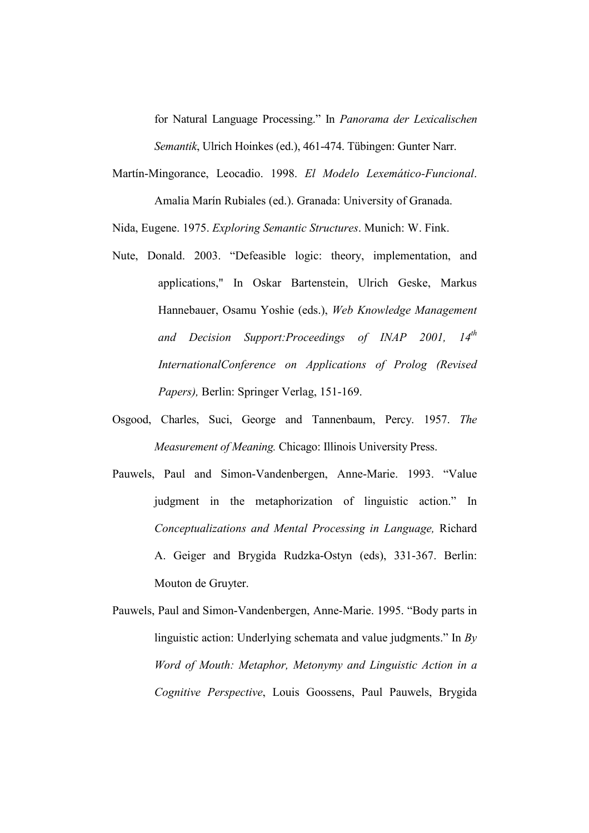for Natural Language Processing." In Panorama der Lexicalischen Semantik, Ulrich Hoinkes (ed.), 461-474. Tübingen: Gunter Narr.

Martín-Mingorance, Leocadio. 1998. El Modelo Lexemático-Funcional. Amalia Marín Rubiales (ed.). Granada: University of Granada.

Nida, Eugene. 1975. Exploring Semantic Structures. Munich: W. Fink.

- Nute, Donald. 2003. "Defeasible logic: theory, implementation, and applications," In Oskar Bartenstein, Ulrich Geske, Markus Hannebauer, Osamu Yoshie (eds.), Web Knowledge Management and Decision Support: Proceedings of INAP 2001,  $14<sup>th</sup>$ InternationalConference on Applications of Prolog (Revised Papers), Berlin: Springer Verlag, 151-169.
- Osgood, Charles, Suci, George and Tannenbaum, Percy. 1957. The Measurement of Meaning. Chicago: Illinois University Press.
- Pauwels, Paul and Simon-Vandenbergen, Anne-Marie. 1993. "Value judgment in the metaphorization of linguistic action." In Conceptualizations and Mental Processing in Language, Richard A. Geiger and Brygida Rudzka-Ostyn (eds), 331-367. Berlin: Mouton de Gruyter.
- Pauwels, Paul and Simon-Vandenbergen, Anne-Marie. 1995. "Body parts in linguistic action: Underlying schemata and value judgments." In By Word of Mouth: Metaphor, Metonymy and Linguistic Action in a Cognitive Perspective, Louis Goossens, Paul Pauwels, Brygida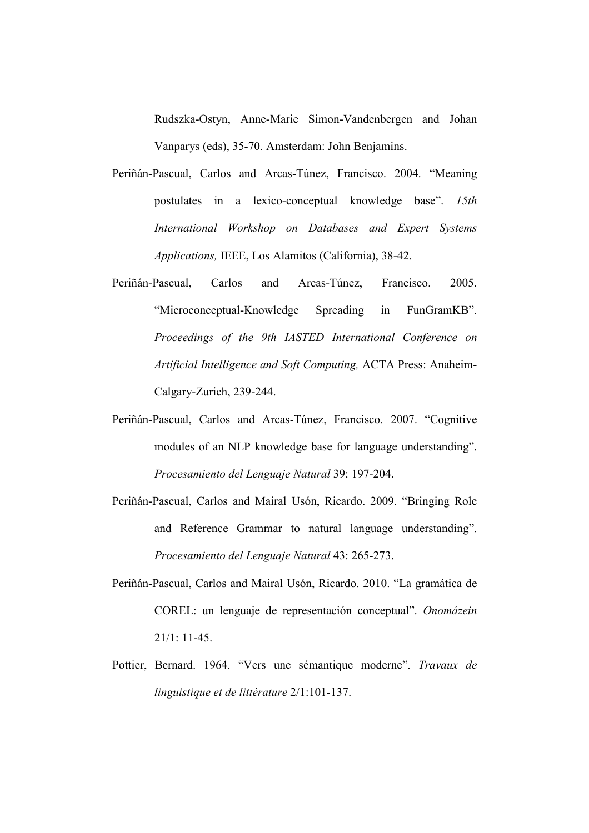Rudszka-Ostyn, Anne-Marie Simon-Vandenbergen and Johan Vanparys (eds), 35-70. Amsterdam: John Benjamins.

- Periñán-Pascual, Carlos and Arcas-Túnez, Francisco. 2004. "Meaning postulates in a lexico-conceptual knowledge base". 15th International Workshop on Databases and Expert Systems Applications, IEEE, Los Alamitos (California), 38-42.
- Periñán-Pascual, Carlos and Arcas-Túnez, Francisco. 2005. "Microconceptual-Knowledge Spreading in FunGramKB". Proceedings of the 9th IASTED International Conference on Artificial Intelligence and Soft Computing, ACTA Press: Anaheim-Calgary-Zurich, 239-244.
- Periñán-Pascual, Carlos and Arcas-Túnez, Francisco. 2007. "Cognitive modules of an NLP knowledge base for language understanding". Procesamiento del Lenguaje Natural 39: 197-204.
- Periñán-Pascual, Carlos and Mairal Usón, Ricardo. 2009. "Bringing Role and Reference Grammar to natural language understanding". Procesamiento del Lenguaje Natural 43: 265-273.
- Periñán-Pascual, Carlos and Mairal Usón, Ricardo. 2010. "La gramática de COREL: un lenguaje de representación conceptual". Onomázein  $21/1: 11-45.$
- Pottier, Bernard. 1964. "Vers une sémantique moderne". Travaux de linguistique et de littérature 2/1:101-137.